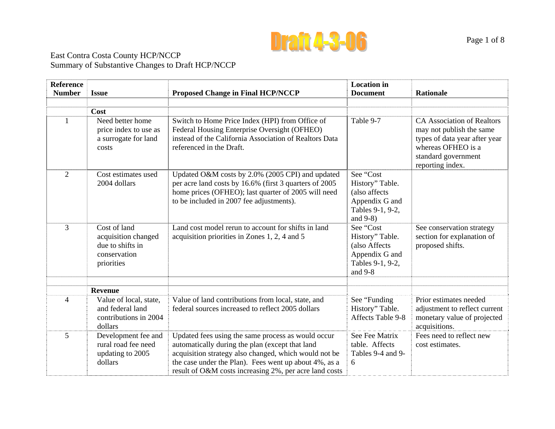

### East Contra Costa County HCP/NCCP Summary of Substantive Changes to Draft HCP/NCCP

| <b>Reference</b><br><b>Number</b> | <b>Issue</b>                                                                          | <b>Proposed Change in Final HCP/NCCP</b>                                                                                                                                                                                                                                          | <b>Location</b> in<br><b>Document</b>                                                              | <b>Rationale</b>                                                                                                                                                |
|-----------------------------------|---------------------------------------------------------------------------------------|-----------------------------------------------------------------------------------------------------------------------------------------------------------------------------------------------------------------------------------------------------------------------------------|----------------------------------------------------------------------------------------------------|-----------------------------------------------------------------------------------------------------------------------------------------------------------------|
|                                   |                                                                                       |                                                                                                                                                                                                                                                                                   |                                                                                                    |                                                                                                                                                                 |
|                                   | Cost                                                                                  |                                                                                                                                                                                                                                                                                   |                                                                                                    |                                                                                                                                                                 |
| $\mathbf{1}$                      | Need better home<br>price index to use as<br>a surrogate for land<br>costs            | Switch to Home Price Index (HPI) from Office of<br>Federal Housing Enterprise Oversight (OFHEO)<br>instead of the California Association of Realtors Data<br>referenced in the Draft.                                                                                             | Table 9-7                                                                                          | <b>CA Association of Realtors</b><br>may not publish the same<br>types of data year after year<br>whereas OFHEO is a<br>standard government<br>reporting index. |
| $\overline{2}$                    | Cost estimates used<br>2004 dollars                                                   | Updated O&M costs by 2.0% (2005 CPI) and updated<br>per acre land costs by 16.6% (first 3 quarters of 2005<br>home prices (OFHEO); last quarter of 2005 will need<br>to be included in 2007 fee adjustments).                                                                     | See "Cost<br>History" Table.<br>(also affects<br>Appendix G and<br>Tables 9-1, 9-2,<br>and $9-8$ ) |                                                                                                                                                                 |
| 3                                 | Cost of land<br>acquisition changed<br>due to shifts in<br>conservation<br>priorities | Land cost model rerun to account for shifts in land<br>acquisition priorities in Zones 1, 2, 4 and 5                                                                                                                                                                              | See "Cost<br>History" Table.<br>(also Affects<br>Appendix G and<br>Tables 9-1, 9-2,<br>and $9-8$   | See conservation strategy<br>section for explanation of<br>proposed shifts.                                                                                     |
|                                   | <b>Revenue</b>                                                                        |                                                                                                                                                                                                                                                                                   |                                                                                                    |                                                                                                                                                                 |
| $\overline{4}$                    | Value of local, state,                                                                | Value of land contributions from local, state, and                                                                                                                                                                                                                                | See "Funding                                                                                       | Prior estimates needed                                                                                                                                          |
|                                   | and federal land<br>contributions in 2004<br>dollars                                  | federal sources increased to reflect 2005 dollars                                                                                                                                                                                                                                 | History" Table.<br>Affects Table 9-8                                                               | adjustment to reflect current<br>monetary value of projected<br>acquisitions.                                                                                   |
| 5                                 | Development fee and<br>rural road fee need<br>updating to 2005<br>dollars             | Updated fees using the same process as would occur<br>automatically during the plan (except that land<br>acquisition strategy also changed, which would not be<br>the case under the Plan). Fees went up about 4%, as a<br>result of O&M costs increasing 2%, per acre land costs | See Fee Matrix<br>table. Affects<br>Tables 9-4 and 9-<br>6                                         | Fees need to reflect new<br>cost estimates.                                                                                                                     |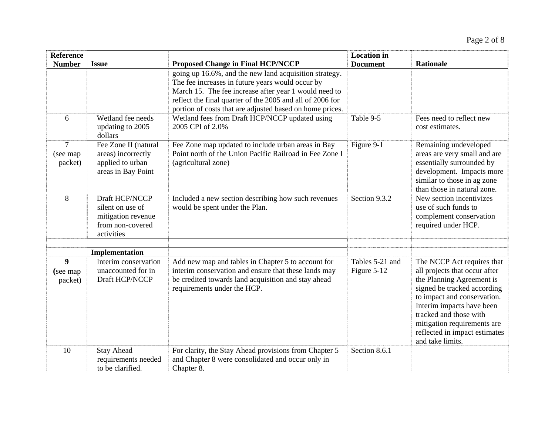| <b>Reference</b><br><b>Number</b> | <b>Issue</b>                                                                               | <b>Proposed Change in Final HCP/NCCP</b>                                                                                                                                                                                                                                                     | <b>Location</b> in<br><b>Document</b> | <b>Rationale</b>                                                                                                                                                                                                                                                                                  |
|-----------------------------------|--------------------------------------------------------------------------------------------|----------------------------------------------------------------------------------------------------------------------------------------------------------------------------------------------------------------------------------------------------------------------------------------------|---------------------------------------|---------------------------------------------------------------------------------------------------------------------------------------------------------------------------------------------------------------------------------------------------------------------------------------------------|
|                                   |                                                                                            | going up 16.6%, and the new land acquisition strategy.<br>The fee increases in future years would occur by<br>March 15. The fee increase after year 1 would need to<br>reflect the final quarter of the 2005 and all of 2006 for<br>portion of costs that are adjusted based on home prices. |                                       |                                                                                                                                                                                                                                                                                                   |
| 6                                 | Wetland fee needs<br>updating to 2005<br>dollars                                           | Wetland fees from Draft HCP/NCCP updated using<br>2005 CPI of 2.0%                                                                                                                                                                                                                           | Table 9-5                             | Fees need to reflect new<br>cost estimates.                                                                                                                                                                                                                                                       |
| 7<br>(see map)<br>packet)         | Fee Zone II (natural<br>areas) incorrectly<br>applied to urban<br>areas in Bay Point       | Fee Zone map updated to include urban areas in Bay<br>Point north of the Union Pacific Railroad in Fee Zone I<br>(agricultural zone)                                                                                                                                                         | Figure 9-1                            | Remaining undeveloped<br>areas are very small and are<br>essentially surrounded by<br>development. Impacts more<br>similar to those in ag zone<br>than those in natural zone.                                                                                                                     |
| 8                                 | Draft HCP/NCCP<br>silent on use of<br>mitigation revenue<br>from non-covered<br>activities | Included a new section describing how such revenues<br>would be spent under the Plan.                                                                                                                                                                                                        | Section 9.3.2                         | New section incentivizes<br>use of such funds to<br>complement conservation<br>required under HCP.                                                                                                                                                                                                |
|                                   | Implementation                                                                             |                                                                                                                                                                                                                                                                                              |                                       |                                                                                                                                                                                                                                                                                                   |
| 9<br>(see map)<br>packet)         | Interim conservation<br>unaccounted for in<br>Draft HCP/NCCP                               | Add new map and tables in Chapter 5 to account for<br>interim conservation and ensure that these lands may<br>be credited towards land acquisition and stay ahead<br>requirements under the HCP.                                                                                             | Tables 5-21 and<br>Figure 5-12        | The NCCP Act requires that<br>all projects that occur after<br>the Planning Agreement is<br>signed be tracked according<br>to impact and conservation.<br>Interim impacts have been<br>tracked and those with<br>mitigation requirements are<br>reflected in impact estimates<br>and take limits. |
| 10                                | <b>Stay Ahead</b><br>requirements needed<br>to be clarified.                               | For clarity, the Stay Ahead provisions from Chapter 5<br>and Chapter 8 were consolidated and occur only in<br>Chapter 8.                                                                                                                                                                     | Section 8.6.1                         |                                                                                                                                                                                                                                                                                                   |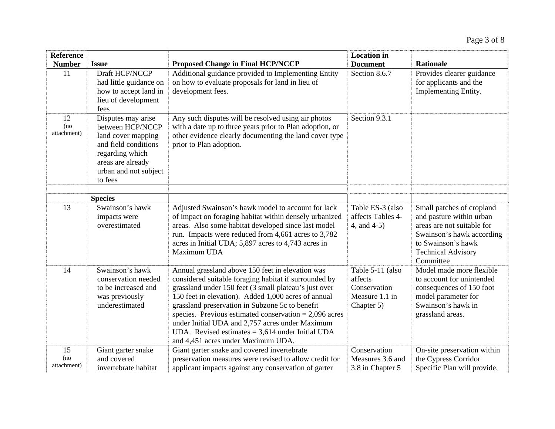| <b>Reference</b>         |                                                                                                                                                                  |                                                                                                                                                                                                                                                                                                                                                                                                                                                                                         | <b>Location</b> in                                                          |                                                                                                                                                                                  |  |
|--------------------------|------------------------------------------------------------------------------------------------------------------------------------------------------------------|-----------------------------------------------------------------------------------------------------------------------------------------------------------------------------------------------------------------------------------------------------------------------------------------------------------------------------------------------------------------------------------------------------------------------------------------------------------------------------------------|-----------------------------------------------------------------------------|----------------------------------------------------------------------------------------------------------------------------------------------------------------------------------|--|
| <b>Number</b>            | <b>Issue</b>                                                                                                                                                     | <b>Proposed Change in Final HCP/NCCP</b>                                                                                                                                                                                                                                                                                                                                                                                                                                                | <b>Document</b>                                                             | <b>Rationale</b>                                                                                                                                                                 |  |
| 11                       | Draft HCP/NCCP<br>had little guidance on<br>how to accept land in<br>lieu of development<br>fees                                                                 | Additional guidance provided to Implementing Entity<br>on how to evaluate proposals for land in lieu of<br>development fees.                                                                                                                                                                                                                                                                                                                                                            | Section 8.6.7                                                               | Provides clearer guidance<br>for applicants and the<br>Implementing Entity.                                                                                                      |  |
| 12<br>(no<br>attachment) | Disputes may arise<br>between HCP/NCCP<br>land cover mapping<br>and field conditions<br>regarding which<br>areas are already<br>urban and not subject<br>to fees | Any such disputes will be resolved using air photos<br>with a date up to three years prior to Plan adoption, or<br>other evidence clearly documenting the land cover type<br>prior to Plan adoption.                                                                                                                                                                                                                                                                                    | Section 9.3.1                                                               |                                                                                                                                                                                  |  |
|                          | <b>Species</b>                                                                                                                                                   |                                                                                                                                                                                                                                                                                                                                                                                                                                                                                         |                                                                             |                                                                                                                                                                                  |  |
| 13                       | Swainson's hawk<br>impacts were<br>overestimated                                                                                                                 | Adjusted Swainson's hawk model to account for lack<br>of impact on foraging habitat within densely urbanized<br>areas. Also some habitat developed since last model<br>run. Impacts were reduced from 4,661 acres to 3,782<br>acres in Initial UDA; 5,897 acres to 4,743 acres in<br>Maximum UDA                                                                                                                                                                                        | Table ES-3 (also<br>affects Tables 4-<br>4, and 4-5)                        | Small patches of cropland<br>and pasture within urban<br>areas are not suitable for<br>Swainson's hawk according<br>to Swainson's hawk<br><b>Technical Advisory</b><br>Committee |  |
| 14                       | Swainson's hawk<br>conservation needed<br>to be increased and<br>was previously<br>underestimated                                                                | Annual grassland above 150 feet in elevation was<br>considered suitable foraging habitat if surrounded by<br>grassland under 150 feet (3 small plateau's just over<br>150 feet in elevation). Added 1,000 acres of annual<br>grassland preservation in Subzone 5c to benefit<br>species. Previous estimated conservation $= 2,096$ acres<br>under Initial UDA and 2,757 acres under Maximum<br>UDA. Revised estimates $= 3,614$ under Initial UDA<br>and 4,451 acres under Maximum UDA. | Table 5-11 (also<br>affects<br>Conservation<br>Measure 1.1 in<br>Chapter 5) | Model made more flexible<br>to account for unintended<br>consequences of 150 foot<br>model parameter for<br>Swainson's hawk in<br>grassland areas.                               |  |
| 15<br>(no<br>attachment) | Giant garter snake<br>and covered<br>invertebrate habitat                                                                                                        | Giant garter snake and covered invertebrate<br>preservation measures were revised to allow credit for<br>applicant impacts against any conservation of garter                                                                                                                                                                                                                                                                                                                           | Conservation<br>Measures 3.6 and<br>3.8 in Chapter 5                        | On-site preservation within<br>the Cypress Corridor<br>Specific Plan will provide,                                                                                               |  |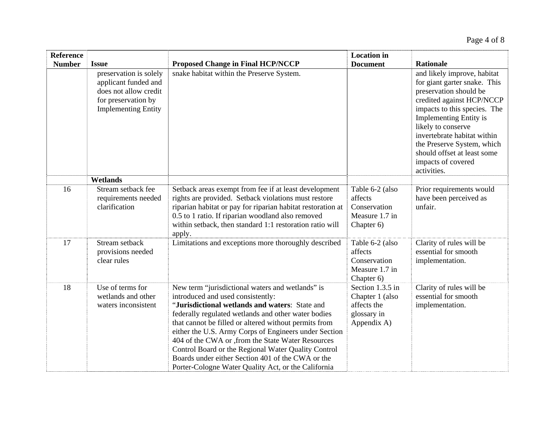| <b>Reference</b> |                                                                                                                              |                                                                                                                                                                                                                                                                                                                                                                                                                                                                                                                                           | <b>Location</b> in                                                               |                                                                                                                                                                                                                                                                                                                                            |
|------------------|------------------------------------------------------------------------------------------------------------------------------|-------------------------------------------------------------------------------------------------------------------------------------------------------------------------------------------------------------------------------------------------------------------------------------------------------------------------------------------------------------------------------------------------------------------------------------------------------------------------------------------------------------------------------------------|----------------------------------------------------------------------------------|--------------------------------------------------------------------------------------------------------------------------------------------------------------------------------------------------------------------------------------------------------------------------------------------------------------------------------------------|
| <b>Number</b>    | <b>Issue</b>                                                                                                                 | <b>Proposed Change in Final HCP/NCCP</b>                                                                                                                                                                                                                                                                                                                                                                                                                                                                                                  | <b>Document</b>                                                                  | <b>Rationale</b>                                                                                                                                                                                                                                                                                                                           |
|                  | preservation is solely<br>applicant funded and<br>does not allow credit<br>for preservation by<br><b>Implementing Entity</b> | snake habitat within the Preserve System.                                                                                                                                                                                                                                                                                                                                                                                                                                                                                                 |                                                                                  | and likely improve, habitat<br>for giant garter snake. This<br>preservation should be<br>credited against HCP/NCCP<br>impacts to this species. The<br><b>Implementing Entity is</b><br>likely to conserve<br>invertebrate habitat within<br>the Preserve System, which<br>should offset at least some<br>impacts of covered<br>activities. |
|                  | Wetlands                                                                                                                     |                                                                                                                                                                                                                                                                                                                                                                                                                                                                                                                                           |                                                                                  |                                                                                                                                                                                                                                                                                                                                            |
| 16               | Stream setback fee<br>requirements needed<br>clarification                                                                   | Setback areas exempt from fee if at least development<br>rights are provided. Setback violations must restore<br>riparian habitat or pay for riparian habitat restoration at<br>0.5 to 1 ratio. If riparian woodland also removed<br>within setback, then standard 1:1 restoration ratio will<br>apply.                                                                                                                                                                                                                                   | Table 6-2 (also<br>affects<br>Conservation<br>Measure 1.7 in<br>Chapter 6)       | Prior requirements would<br>have been perceived as<br>unfair.                                                                                                                                                                                                                                                                              |
| 17               | Stream setback<br>provisions needed<br>clear rules                                                                           | Limitations and exceptions more thoroughly described                                                                                                                                                                                                                                                                                                                                                                                                                                                                                      | Table 6-2 (also<br>affects<br>Conservation<br>Measure 1.7 in<br>Chapter 6)       | Clarity of rules will be<br>essential for smooth<br>implementation.                                                                                                                                                                                                                                                                        |
| 18               | Use of terms for<br>wetlands and other<br>waters inconsistent                                                                | New term "jurisdictional waters and wetlands" is<br>introduced and used consistently:<br>"Jurisdictional wetlands and waters: State and<br>federally regulated wetlands and other water bodies<br>that cannot be filled or altered without permits from<br>either the U.S. Army Corps of Engineers under Section<br>404 of the CWA or , from the State Water Resources<br>Control Board or the Regional Water Quality Control<br>Boards under either Section 401 of the CWA or the<br>Porter-Cologne Water Quality Act, or the California | Section 1.3.5 in<br>Chapter 1 (also<br>affects the<br>glossary in<br>Appendix A) | Clarity of rules will be<br>essential for smooth<br>implementation.                                                                                                                                                                                                                                                                        |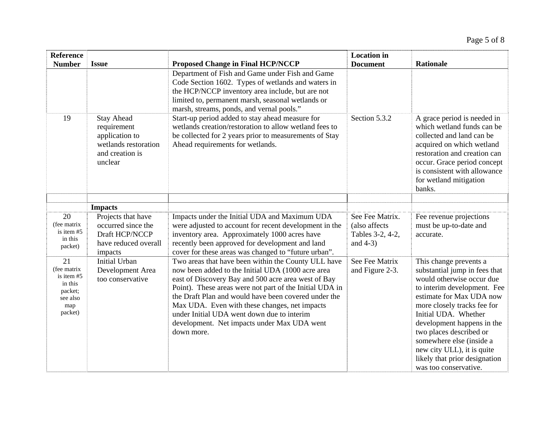| <b>Reference</b><br><b>Number</b>                                                     | <b>Issue</b>                                                                                             | <b>Proposed Change in Final HCP/NCCP</b>                                                                                                                                                                                                                                                                                                                                                                                                       | <b>Location</b> in<br><b>Document</b>                               | <b>Rationale</b>                                                                                                                                                                                                                                                                                                                                                                    |
|---------------------------------------------------------------------------------------|----------------------------------------------------------------------------------------------------------|------------------------------------------------------------------------------------------------------------------------------------------------------------------------------------------------------------------------------------------------------------------------------------------------------------------------------------------------------------------------------------------------------------------------------------------------|---------------------------------------------------------------------|-------------------------------------------------------------------------------------------------------------------------------------------------------------------------------------------------------------------------------------------------------------------------------------------------------------------------------------------------------------------------------------|
|                                                                                       |                                                                                                          | Department of Fish and Game under Fish and Game<br>Code Section 1602. Types of wetlands and waters in<br>the HCP/NCCP inventory area include, but are not<br>limited to, permanent marsh, seasonal wetlands or<br>marsh, streams, ponds, and vernal pools."                                                                                                                                                                                    |                                                                     |                                                                                                                                                                                                                                                                                                                                                                                     |
| 19                                                                                    | <b>Stay Ahead</b><br>requirement<br>application to<br>wetlands restoration<br>and creation is<br>unclear | Start-up period added to stay ahead measure for<br>wetlands creation/restoration to allow wetland fees to<br>be collected for 2 years prior to measurements of Stay<br>Ahead requirements for wetlands.                                                                                                                                                                                                                                        | Section 5.3.2                                                       | A grace period is needed in<br>which wetland funds can be<br>collected and land can be<br>acquired on which wetland<br>restoration and creation can<br>occur. Grace period concept<br>is consistent with allowance<br>for wetland mitigation<br>banks.                                                                                                                              |
|                                                                                       | <b>Impacts</b>                                                                                           |                                                                                                                                                                                                                                                                                                                                                                                                                                                |                                                                     |                                                                                                                                                                                                                                                                                                                                                                                     |
| 20<br>(fee matrix<br>is item $#5$<br>in this<br>packet)                               | Projects that have<br>occurred since the<br>Draft HCP/NCCP<br>have reduced overall<br>impacts            | Impacts under the Initial UDA and Maximum UDA<br>were adjusted to account for recent development in the<br>inventory area. Approximately 1000 acres have<br>recently been approved for development and land<br>cover for these areas was changed to "future urban".                                                                                                                                                                            | See Fee Matrix.<br>(also affects<br>Tables 3-2, 4-2,<br>and $4-3$ ) | Fee revenue projections<br>must be up-to-date and<br>accurate.                                                                                                                                                                                                                                                                                                                      |
| 21<br>(fee matrix<br>is item $#5$<br>in this<br>packet;<br>see also<br>map<br>packet) | <b>Initial Urban</b><br>Development Area<br>too conservative                                             | Two areas that have been within the County ULL have<br>now been added to the Initial UDA (1000 acre area<br>east of Discovery Bay and 500 acre area west of Bay<br>Point). These areas were not part of the Initial UDA in<br>the Draft Plan and would have been covered under the<br>Max UDA. Even with these changes, net impacts<br>under Initial UDA went down due to interim<br>development. Net impacts under Max UDA went<br>down more. | See Fee Matrix<br>and Figure 2-3.                                   | This change prevents a<br>substantial jump in fees that<br>would otherwise occur due<br>to interim development. Fee<br>estimate for Max UDA now<br>more closely tracks fee for<br>Initial UDA. Whether<br>development happens in the<br>two places described or<br>somewhere else (inside a<br>new city ULL), it is quite<br>likely that prior designation<br>was too conservative. |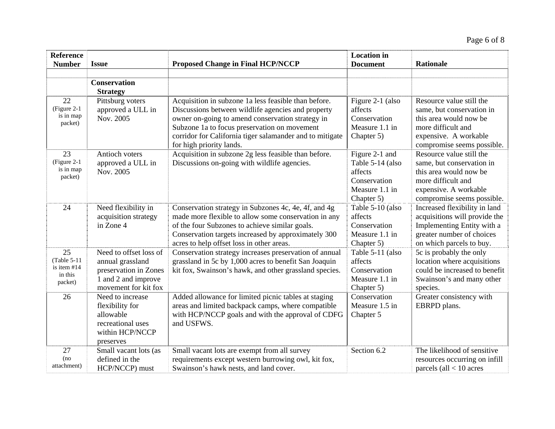| <b>Reference</b><br><b>Number</b>                       | <b>Issue</b>                                                                                                       | <b>Proposed Change in Final HCP/NCCP</b>                                                                                                                                                                                                                                                               | <b>Location</b> in<br><b>Document</b>                                                         | <b>Rationale</b>                                                                                                                                             |
|---------------------------------------------------------|--------------------------------------------------------------------------------------------------------------------|--------------------------------------------------------------------------------------------------------------------------------------------------------------------------------------------------------------------------------------------------------------------------------------------------------|-----------------------------------------------------------------------------------------------|--------------------------------------------------------------------------------------------------------------------------------------------------------------|
|                                                         |                                                                                                                    |                                                                                                                                                                                                                                                                                                        |                                                                                               |                                                                                                                                                              |
|                                                         | <b>Conservation</b><br><b>Strategy</b>                                                                             |                                                                                                                                                                                                                                                                                                        |                                                                                               |                                                                                                                                                              |
| 22<br>(Figure 2-1)<br>is in map<br>packet)              | Pittsburg voters<br>approved a ULL in<br>Nov. 2005                                                                 | Acquisition in subzone 1a less feasible than before.<br>Discussions between wildlife agencies and property<br>owner on-going to amend conservation strategy in<br>Subzone 1a to focus preservation on movement<br>corridor for California tiger salamander and to mitigate<br>for high priority lands. | Figure 2-1 (also<br>affects<br>Conservation<br>Measure 1.1 in<br>Chapter 5)                   | Resource value still the<br>same, but conservation in<br>this area would now be<br>more difficult and<br>expensive. A workable<br>compromise seems possible. |
| 23<br>(Figure 2-1)<br>is in map<br>packet)              | Antioch voters<br>approved a ULL in<br>Nov. 2005                                                                   | Acquisition in subzone 2g less feasible than before.<br>Discussions on-going with wildlife agencies.                                                                                                                                                                                                   | Figure 2-1 and<br>Table 5-14 (also<br>affects<br>Conservation<br>Measure 1.1 in<br>Chapter 5) | Resource value still the<br>same, but conservation in<br>this area would now be<br>more difficult and<br>expensive. A workable<br>compromise seems possible. |
| 24                                                      | Need flexibility in<br>acquisition strategy<br>in Zone 4                                                           | Conservation strategy in Subzones 4c, 4e, 4f, and 4g<br>made more flexible to allow some conservation in any<br>of the four Subzones to achieve similar goals.<br>Conservation targets increased by approximately 300<br>acres to help offset loss in other areas.                                     | Table 5-10 (also<br>affects<br>Conservation<br>Measure 1.1 in<br>Chapter 5)                   | Increased flexibility in land<br>acquisitions will provide the<br>Implementing Entity with a<br>greater number of choices<br>on which parcels to buy.        |
| 25<br>(Table 5-11)<br>is item #14<br>in this<br>packet) | Need to offset loss of<br>annual grassland<br>preservation in Zones<br>1 and 2 and improve<br>movement for kit fox | Conservation strategy increases preservation of annual<br>grassland in 5c by 1,000 acres to benefit San Joaquin<br>kit fox, Swainson's hawk, and other grassland species.                                                                                                                              | Table 5-11 (also<br>affects<br>Conservation<br>Measure 1.1 in<br>Chapter 5)                   | 5c is probably the only<br>location where acquisitions<br>could be increased to benefit<br>Swainson's and many other<br>species.                             |
| 26                                                      | Need to increase<br>flexibility for<br>allowable<br>recreational uses<br>within HCP/NCCP<br>preserves              | Added allowance for limited picnic tables at staging<br>areas and limited backpack camps, where compatible<br>with HCP/NCCP goals and with the approval of CDFG<br>and USFWS.                                                                                                                          | Conservation<br>Measure 1.5 in<br>Chapter 5                                                   | Greater consistency with<br>EBRPD plans.                                                                                                                     |
| 27<br>(no<br>attachment)                                | Small vacant lots (as<br>defined in the<br>HCP/NCCP) must                                                          | Small vacant lots are exempt from all survey<br>requirements except western burrowing owl, kit fox,<br>Swainson's hawk nests, and land cover.                                                                                                                                                          | Section 6.2                                                                                   | The likelihood of sensitive<br>resources occurring on infill<br>parcels (all $<$ 10 acres                                                                    |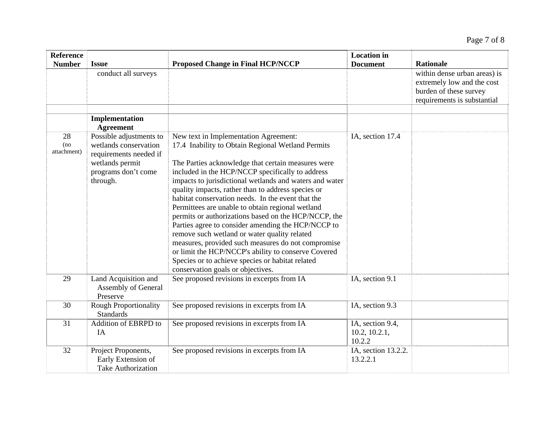| <b>Reference</b>         |                                                                                                                                  |                                                                                                                                                                                                                                                                                                                                                                                                                                                                                                                                                                                                                                                                                                                                                                                                    | <b>Location</b> in                          |                                                                                                                                         |
|--------------------------|----------------------------------------------------------------------------------------------------------------------------------|----------------------------------------------------------------------------------------------------------------------------------------------------------------------------------------------------------------------------------------------------------------------------------------------------------------------------------------------------------------------------------------------------------------------------------------------------------------------------------------------------------------------------------------------------------------------------------------------------------------------------------------------------------------------------------------------------------------------------------------------------------------------------------------------------|---------------------------------------------|-----------------------------------------------------------------------------------------------------------------------------------------|
| <b>Number</b>            | <b>Issue</b><br>conduct all surveys                                                                                              | <b>Proposed Change in Final HCP/NCCP</b>                                                                                                                                                                                                                                                                                                                                                                                                                                                                                                                                                                                                                                                                                                                                                           | <b>Document</b>                             | <b>Rationale</b><br>within dense urban areas) is<br>extremely low and the cost<br>burden of these survey<br>requirements is substantial |
|                          | Implementation<br><b>Agreement</b>                                                                                               |                                                                                                                                                                                                                                                                                                                                                                                                                                                                                                                                                                                                                                                                                                                                                                                                    |                                             |                                                                                                                                         |
| 28<br>(no<br>attachment) | Possible adjustments to<br>wetlands conservation<br>requirements needed if<br>wetlands permit<br>programs don't come<br>through. | New text in Implementation Agreement:<br>17.4 Inability to Obtain Regional Wetland Permits<br>The Parties acknowledge that certain measures were<br>included in the HCP/NCCP specifically to address<br>impacts to jurisdictional wetlands and waters and water<br>quality impacts, rather than to address species or<br>habitat conservation needs. In the event that the<br>Permittees are unable to obtain regional wetland<br>permits or authorizations based on the HCP/NCCP, the<br>Parties agree to consider amending the HCP/NCCP to<br>remove such wetland or water quality related<br>measures, provided such measures do not compromise<br>or limit the HCP/NCCP's ability to conserve Covered<br>Species or to achieve species or habitat related<br>conservation goals or objectives. | IA, section 17.4                            |                                                                                                                                         |
| 29                       | Land Acquisition and<br>Assembly of General<br>Preserve                                                                          | See proposed revisions in excerpts from IA                                                                                                                                                                                                                                                                                                                                                                                                                                                                                                                                                                                                                                                                                                                                                         | IA, section 9.1                             |                                                                                                                                         |
| 30                       | <b>Rough Proportionality</b><br><b>Standards</b>                                                                                 | See proposed revisions in excerpts from IA                                                                                                                                                                                                                                                                                                                                                                                                                                                                                                                                                                                                                                                                                                                                                         | IA, section 9.3                             |                                                                                                                                         |
| 31                       | Addition of EBRPD to<br>IA                                                                                                       | See proposed revisions in excerpts from IA                                                                                                                                                                                                                                                                                                                                                                                                                                                                                                                                                                                                                                                                                                                                                         | IA, section 9.4,<br>10.2, 10.2.1,<br>10.2.2 |                                                                                                                                         |
| 32                       | Project Proponents,<br>Early Extension of<br><b>Take Authorization</b>                                                           | See proposed revisions in excerpts from IA                                                                                                                                                                                                                                                                                                                                                                                                                                                                                                                                                                                                                                                                                                                                                         | IA, section 13.2.2.<br>13.2.2.1             |                                                                                                                                         |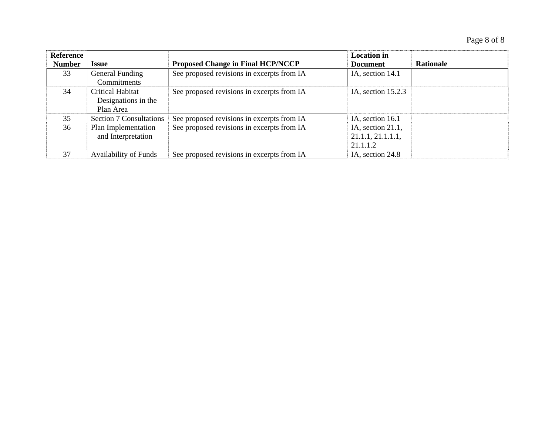| Reference     |                                |                                            | <b>Location</b> in   |                  |
|---------------|--------------------------------|--------------------------------------------|----------------------|------------------|
| <b>Number</b> | <b>Issue</b>                   | <b>Proposed Change in Final HCP/NCCP</b>   | <b>Document</b>      | <b>Rationale</b> |
| 33            | General Funding                | See proposed revisions in excerpts from IA | IA, section 14.1     |                  |
|               | Commitments                    |                                            |                      |                  |
| 34            | Critical Habitat               | See proposed revisions in excerpts from IA | IA, section $15.2.3$ |                  |
|               | Designations in the            |                                            |                      |                  |
|               | Plan Area                      |                                            |                      |                  |
| 35            | <b>Section 7 Consultations</b> | See proposed revisions in excerpts from IA | IA, section 16.1     |                  |
| 36            | Plan Implementation            | See proposed revisions in excerpts from IA | IA, section 21.1,    |                  |
|               | and Interpretation             |                                            | 21.1.1, 21.1.1.1,    |                  |
|               |                                |                                            | 21.1.1.2             |                  |
| 37            | <b>Availability of Funds</b>   | See proposed revisions in excerpts from IA | IA, section 24.8     |                  |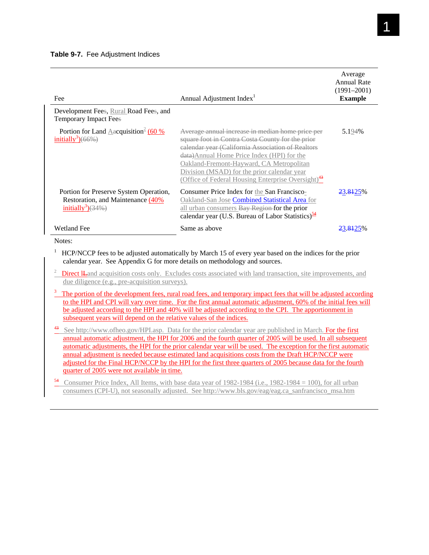| Fee                                                                                                              | Annual Adjustment Index <sup>1</sup>                                                                                                                                                                                                                                                                                                                                 | Average<br>Annual Rate<br>$(1991 - 2001)$<br><b>Example</b> |
|------------------------------------------------------------------------------------------------------------------|----------------------------------------------------------------------------------------------------------------------------------------------------------------------------------------------------------------------------------------------------------------------------------------------------------------------------------------------------------------------|-------------------------------------------------------------|
| Development Fees, Rural Road Fees, and<br><b>Temporary Impact Fees</b>                                           |                                                                                                                                                                                                                                                                                                                                                                      |                                                             |
| Portion for Land Aacquisition <sup>2</sup> (60 %)<br>initially <sup>3</sup> $)(66\%)$                            | Average annual increase in median home price per<br>square foot in Contra Costa County for the prior<br>calendar year (California Association of Realtors<br>data)Annual Home Price Index (HPI) for the<br>Oakland-Fremont-Hayward, CA Metropolitan<br>Division (MSAD) for the prior calendar year<br>(Office of Federal Housing Enterprise Oversight) <sup>43</sup> | 5.194%                                                      |
| Portion for Preserve System Operation,<br>Restoration, and Maintenance (40%<br>initially <sup>3</sup> ) $(34\%)$ | Consumer Price Index for the San Francisco-<br>Oakland-San Jose Combined Statistical Area for<br>all urban consumers Bay Region for the prior<br>calendar year (U.S. Bureau of Labor Statistics) <sup>54</sup>                                                                                                                                                       | 23.8425 <sup>%</sup>                                        |
| <b>Wetland Fee</b>                                                                                               | Same as above                                                                                                                                                                                                                                                                                                                                                        | <del>23.81</del> 25                                         |

Notes:

1 HCP/NCCP fees to be adjusted automatically by March 15 of every year based on the indices for the prior calendar year. See Appendix G for more details on methodology and sources.

2 Direct ILand acquisition costs only. Excludes costs associated with land transaction, site improvements, and due diligence (e.g., pre-acquisition surveys).

- $3\text{$  The portion of the development fees, rural road fees, and temporary impact fees that will be adjusted according to the development, and the development is not provided.} to the HPI and CPI will vary over time. For the first annual automatic adjustment, 60% of the initial fees will be adjusted according to the HPI and 40% will be adjusted according to the CPI. The apportionment in subsequent years will depend on the relative values of the indices.
- 43 See http://www.ofheo.gov/HPI.asp. Data for the prior calendar year are published in March. For the first annual automatic adjustment, the HPI for 2006 and the fourth quarter of 2005 will be used. In all subsequent automatic adjustments, the HPI for the prior calendar year will be used. The exception for the first automatic annual adjustment is needed because estimated land acquisitions costs from the Draft HCP/NCCP were adjusted for the Final HCP/NCCP by the HPI for the first three quarters of 2005 because data for the fourth quarter of 2005 were not available in time.
- Consumer Price Index, All Items, with base data year of 1982-1984 (i.e., 1982-1984 = 100), for all urban consumers (CPI-U), not seasonally adjusted. See http://www.bls.gov/eag/eag.ca\_sanfrancisco\_msa.htm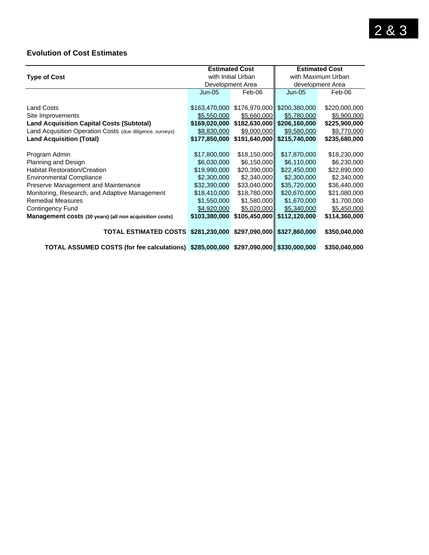### **Evolution of Cost Estimates**

|                                                                                      |                  | <b>Estimated Cost</b> | <b>Estimated Cost</b>         |               |  |
|--------------------------------------------------------------------------------------|------------------|-----------------------|-------------------------------|---------------|--|
| <b>Type of Cost</b>                                                                  |                  | with Initial Urban    | with Maximum Urban            |               |  |
|                                                                                      | Development Area |                       | development Area              |               |  |
|                                                                                      | $Jun-05$         | Feb-06                | $Jun-05$                      | Feb-06        |  |
|                                                                                      |                  |                       |                               |               |  |
| <b>Land Costs</b>                                                                    | \$163,470,000    |                       | \$176,970,000 \$200,380,000   | \$220,000,000 |  |
| Site Improvements                                                                    | \$5,550,000      | \$5,660,000           | \$5,780,000                   | \$5,900,000   |  |
| <b>Land Acquisition Capital Costs (Subtotal)</b>                                     | \$169,020,000    |                       | $$182,630,000$ \$206,160,000  | \$225,900,000 |  |
| Land Acqusition Operation Costs (due diligence, surveys)                             | \$8,830,000      | \$9,000,000           | \$9,580,000                   | \$9,770,000   |  |
| <b>Land Acquisition (Total)</b>                                                      | \$177,850,000    |                       | $$191,640,000$ $$215,740,000$ | \$235,680,000 |  |
|                                                                                      |                  |                       |                               |               |  |
| Program Admin                                                                        | \$17,800,000     | \$18,150,000          | \$17,870,000                  | \$18,230,000  |  |
| Planning and Design                                                                  | \$6,030,000      | \$6,150,000           | \$6,110,000                   | \$6,230,000   |  |
| <b>Habitat Restoration/Creation</b>                                                  | \$19,990,000     | \$20,390,000          | \$22,450,000                  | \$22,890,000  |  |
| <b>Environmental Compliance</b>                                                      | \$2,300,000      | \$2,340,000           | \$2,300,000                   | \$2,340,000   |  |
| Preserve Management and Maintenance                                                  | \$32,390,000     | \$33,040,000          | \$35,720,000                  | \$36,440,000  |  |
| Monitoring, Research, and Adaptive Management                                        | \$18,410,000     | \$18,780,000          | \$20,670,000                  | \$21,080,000  |  |
| <b>Remedial Measures</b>                                                             | \$1,550,000      | \$1,580,000           | \$1,670,000                   | \$1,700,000   |  |
| Contingency Fund                                                                     | \$4,920,000      | \$5,020,000           | \$5,340,000                   | \$5,450,000   |  |
| Management costs (30 years) (all non acquisition costs)                              | \$103,380,000    |                       | \$105,450,000 \$112,120,000   | \$114,360,000 |  |
| <b>TOTAL ESTIMATED COSTS</b>                                                         | \$281,230,000    |                       | $$297,090,000$ \$327,860,000  | \$350,040,000 |  |
| TOTAL ASSUMED COSTS (for fee calculations) \$285,000,000 \$297,090,000 \$330,000,000 |                  |                       |                               | \$350,040,000 |  |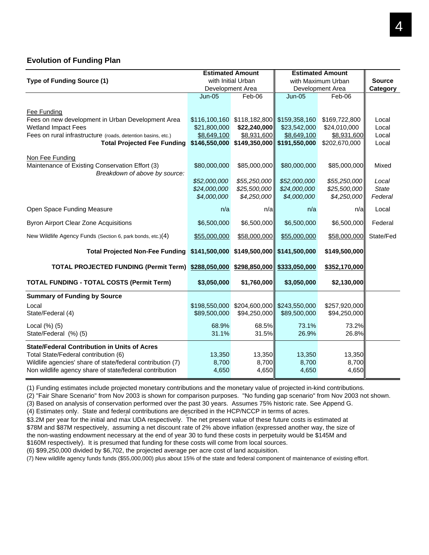#### **Evolution of Funding Plan**

|                                                                         |                             | <b>Estimated Amount</b>     | <b>Estimated Amount</b>       |                             |                         |
|-------------------------------------------------------------------------|-----------------------------|-----------------------------|-------------------------------|-----------------------------|-------------------------|
| Type of Funding Source (1)                                              | with Initial Urban          |                             | with Maximum Urban            |                             | <b>Source</b>           |
|                                                                         | Development Area            |                             |                               | Development Area            | Category                |
|                                                                         | <b>Jun-05</b>               | Feb-06                      | $Jun-05$                      | Feb-06                      |                         |
|                                                                         |                             |                             |                               |                             |                         |
| <b>Fee Funding</b><br>Fees on new development in Urban Development Area | \$116,100,160               |                             | \$118,182,800 \$159,358,160   | \$169,722,800               | Local                   |
| <b>Wetland Impact Fees</b>                                              | \$21,800,000                | \$22,240,000                | \$23,542,000                  | \$24,010,000                | Local                   |
| Fees on rural infrastructure (roads, detention basins, etc.)            | \$8,649,100                 | \$8,931,600                 | \$8,649,100                   | \$8,931,600                 | Local                   |
| <b>Total Projected Fee Funding</b>                                      | \$146,550,000               |                             | $$149,350,000$ $$191,550,000$ | \$202,670,000               | Local                   |
|                                                                         |                             |                             |                               |                             |                         |
| Non Fee Funding                                                         |                             |                             |                               |                             |                         |
| Maintenance of Existing Conservation Effort (3)                         | \$80,000,000                | \$85,000,000                | \$80,000,000                  | \$85,000,000                | Mixed                   |
| Breakdown of above by source:                                           |                             |                             |                               |                             |                         |
|                                                                         | \$52,000,000                | \$55,250,000                | \$52,000,000                  | \$55,250,000                | Local                   |
|                                                                         | \$24,000,000<br>\$4,000,000 | \$25,500,000<br>\$4,250,000 | \$24,000,000<br>\$4,000,000   | \$25,500,000<br>\$4,250,000 | <b>State</b><br>Federal |
|                                                                         |                             |                             |                               |                             |                         |
| Open Space Funding Measure                                              | n/a                         | n/a                         | n/a                           | n/a                         | Local                   |
| <b>Byron Airport Clear Zone Acquisitions</b>                            | \$6,500,000                 | \$6,500,000                 | \$6,500,000                   | \$6,500,000                 | Federal                 |
| New Wildlife Agency Funds (Section 6, park bonds, etc.)(4)              | \$55,000,000                | \$58,000,000                | \$55,000,000                  | \$58,000,000                | State/Fed               |
| <b>Total Projected Non-Fee Funding</b>                                  | \$141,500,000               |                             | $$149,500,000$ $$141,500,000$ | \$149,500,000               |                         |
| TOTAL PROJECTED FUNDING (Permit Term) \$288,050,000                     |                             | \$298,850,000               | \$333,050,000                 | \$352,170,000               |                         |
| <b>TOTAL FUNDING - TOTAL COSTS (Permit Term)</b>                        | \$3,050,000                 | \$1,760,000                 | \$3,050,000                   | \$2,130,000                 |                         |
| <b>Summary of Funding by Source</b>                                     |                             |                             |                               |                             |                         |
| Local                                                                   | \$198,550,000               |                             | \$204,600,000 \$243,550,000   | \$257,920,000               |                         |
| State/Federal (4)                                                       | \$89,500,000                | \$94,250,000                | \$89,500,000                  | \$94,250,000                |                         |
|                                                                         |                             |                             |                               |                             |                         |
| Local $(\%)$ $(5)$<br>State/Federal (%) (5)                             | 68.9%<br>31.1%              | 68.5%<br>31.5%              | 73.1%<br>26.9%                | 73.2%<br>26.8%              |                         |
|                                                                         |                             |                             |                               |                             |                         |
| <b>State/Federal Contribution in Units of Acres</b>                     |                             |                             |                               |                             |                         |
| Total State/Federal contribution (6)                                    | 13,350                      | 13,350                      | 13,350                        | 13,350                      |                         |
| Wildlife agencies' share of state/federal contribution (7)              | 8,700                       | 8,700                       | 8,700                         | 8,700                       |                         |
| Non wildlife agency share of state/federal contribution                 | 4,650                       | 4,650                       | 4,650                         | 4,650                       |                         |

(1) Funding estimates include projected monetary contributions and the monetary value of projected in-kind contributions.

(2) "Fair Share Scenario" from Nov 2003 is shown for comparison purposes. "No funding gap scenario" from Nov 2003 not shown.

(3) Based on analysis of conservation performed over the past 30 years. Assumes 75% historic rate. See Append G.

(4) Estimates only. State and federal contributions are described in the HCP/NCCP in terms of acres.

\$3.2M per year for the initial and max UDA respectively. The net present value of these future costs is estimated at \$78M and \$87M respectively, assuming a net discount rate of 2% above inflation (expressed another way, the size of the non-wasting endowment necessary at the end of year 30 to fund these costs in perpetuity would be \$145M and \$160M respectively). It is presumed that funding for these costs will come from local sources.

(6) \$99,250,000 divided by \$6,702, the projected average per acre cost of land acquisition.

(7) New wildlife agency funds funds (\$55,000,000) plus about 15% of the state and federal component of maintenance of existing effort.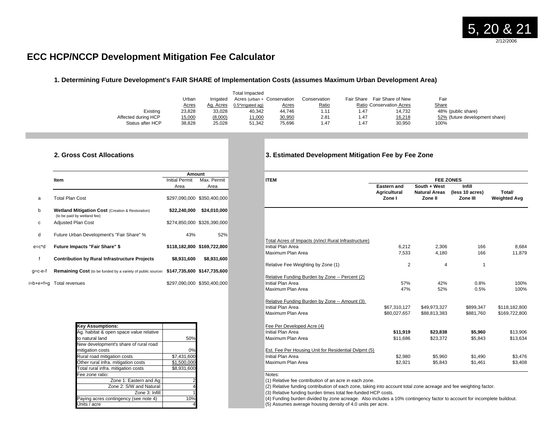## **ECC HCP/NCCP Development Mitigation Fee Calculator**

#### **1. Determining Future Development's FAIR SHARE of Implementation Costs (assumes Maximum Urban Development Area)**

|                     | Urban        | Irrigated | <b>Total Impacted</b><br>Acres (urban + Conservation |              | Conservation | Fair Share | Fair Share of New               | Fair                           |
|---------------------|--------------|-----------|------------------------------------------------------|--------------|--------------|------------|---------------------------------|--------------------------------|
|                     | <b>Acres</b> | Ag. Acres | 0.5*irrigated ag)                                    | <u>Acres</u> | Ratio        |            | <b>Ratio Conservation Acres</b> | <u>Share</u>                   |
| Existina            | 23,828       | 33,028    | 40,342                                               | 44.746       | 1.11         | l.47       | 14.732                          | 48% (public share)             |
| Affected during HCP | 15,000       | (8,000)   | 11,000                                               | 30,950       | 2.81         | 1.47       | 16,218                          | 52% (future development share) |
| Status after HCP    | 38,828       | 25,028    | 51.342                                               | 75,696       | 1.47         | 1.47       | 30,950                          | 100%                           |

#### **2. Gross Cost Allocations 3. Estimated Development Mitigation Fee by Fee Zone**

|            |                                                                                            | <b>Amount</b>  |                             |
|------------|--------------------------------------------------------------------------------------------|----------------|-----------------------------|
|            | <b>Item</b>                                                                                | Initial Permit | Max. Permit                 |
|            |                                                                                            | Area           | Area                        |
| a          | Total Plan Cost                                                                            |                | \$297,090,000 \$350,400,000 |
| b          | <b>Wetland Mitigation Cost (Creation &amp; Restoration)</b><br>(to be paid by wetland fee) | \$22,240,000   | \$24,010,000                |
| c          | <b>Adjusted Plan Cost</b>                                                                  |                | \$274,850,000 \$326,390,000 |
| d          | Future Urban Development's "Fair Share" %                                                  | 43%            | 52%                         |
| $e = c^*d$ | <b>Future Impacts "Fair Share" \$</b>                                                      |                | \$118,182,800 \$169,722,800 |
| f          | <b>Contribution by Rural Infrastructure Projects</b>                                       | \$8,931,600    | \$8,931,600                 |
| a=c-e-f    | Remaining Cost (to be funded by a variety of public sources \$147,735,600 \$147,735,600    |                |                             |
| b+e+f+a    | Total revenues                                                                             |                | \$297.090.000 \$350.400.000 |

|  |                                                               | Fee Per Developed Acre (4)    |
|--|---------------------------------------------------------------|-------------------------------|
|  |                                                               | Initial Plan Area             |
|  |                                                               | Maximum Plan Area             |
|  |                                                               |                               |
|  |                                                               | Est. Fee Per Housing Unit fo  |
|  |                                                               | Initial Plan Area             |
|  |                                                               | Maximum Plan Area             |
|  |                                                               |                               |
|  |                                                               | Notes:                        |
|  |                                                               | (1) Relative fee contribution |
|  |                                                               | (2) Relative funding contribu |
|  |                                                               | (3) Relative funding burden   |
|  |                                                               | (4) Funding burden divided    |
|  |                                                               | (5) Assumes average housir    |
|  | 50%<br>0%<br>\$7.431.600<br>\$1.500.000<br>\$8.931.600<br>10% |                               |

|         | Item                                                                                       | <b>Initial Permit</b> | Max. Permit                 | <b>ITEM</b>                                          |                                    |                                      | <b>FEE ZONES</b>                 |                     |
|---------|--------------------------------------------------------------------------------------------|-----------------------|-----------------------------|------------------------------------------------------|------------------------------------|--------------------------------------|----------------------------------|---------------------|
|         |                                                                                            | Area                  | Area                        |                                                      | <b>Eastern and</b><br>Agricultural | South + West<br><b>Natural Areas</b> | <b>Infill</b><br>(less 10 acres) | Total/              |
| a       | <b>Total Plan Cost</b>                                                                     |                       | \$297,090,000 \$350,400,000 |                                                      | Zone I                             | Zone II                              | Zone III                         | <b>Weighted Avg</b> |
| b       | <b>Wetland Mitigation Cost (Creation &amp; Restoration)</b><br>(to be paid by wetland fee) |                       | \$22,240,000 \$24,010,000   |                                                      |                                    |                                      |                                  |                     |
| c       | <b>Adjusted Plan Cost</b>                                                                  |                       | \$274,850,000 \$326,390,000 |                                                      |                                    |                                      |                                  |                     |
| d       | Future Urban Development's "Fair Share" %                                                  | 43%                   | 52%                         |                                                      |                                    |                                      |                                  |                     |
|         |                                                                                            |                       |                             | Total Acres of Impacts (n/incl Rural Infrastructure) |                                    |                                      |                                  |                     |
| e=c*d   | <b>Future Impacts "Fair Share" \$</b>                                                      |                       | \$118,182,800 \$169,722,800 | Initial Plan Area                                    | 6,212                              | 2,306                                | 166                              | 8,684               |
|         |                                                                                            |                       |                             | Maximum Plan Area                                    | 7,533                              | 4,180                                | 166                              | 11,879              |
|         | <b>Contribution by Rural Infrastructure Projects</b>                                       | \$8,931,600           | \$8,931,600                 |                                                      |                                    |                                      |                                  |                     |
|         |                                                                                            |                       |                             | Relative Fee Weighting by Zone (1)                   | 2                                  | $\overline{4}$                       |                                  |                     |
| g=c-e-f | Remaining Cost (to be funded by a variety of public sources                                |                       | \$147,735,600 \$147,735,600 |                                                      |                                    |                                      |                                  |                     |
|         |                                                                                            |                       |                             | Relative Funding Burden by Zone -- Percent (2)       |                                    |                                      |                                  |                     |
|         | i=b+e+f+a Total revenues                                                                   |                       | \$297,090,000 \$350,400,000 | Initial Plan Area                                    | 57%                                | 42%                                  | 0.8%                             | 100%                |
|         |                                                                                            |                       |                             | Maximum Plan Area                                    | 47%                                | 52%                                  | 0.5%                             | 100%                |
|         |                                                                                            |                       |                             |                                                      |                                    |                                      |                                  |                     |
|         |                                                                                            |                       |                             | Relative Funding Burden by Zone -- Amount (3)        |                                    |                                      |                                  |                     |
|         |                                                                                            |                       |                             | Initial Plan Area                                    | \$67,310,127                       | \$49,973,327                         | \$899,347                        | \$118.182.800       |
|         |                                                                                            |                       |                             | Maximum Plan Area                                    | \$80,027,657                       | \$88,813,383                         | \$881,760                        | \$169,722,800       |
|         |                                                                                            |                       |                             |                                                      |                                    |                                      |                                  |                     |
|         | <b>Key Assumptions:</b>                                                                    |                       |                             | Fee Per Developed Acre (4)                           |                                    |                                      |                                  |                     |
|         | Ag. habitat & open space value relative                                                    |                       |                             | Initial Plan Area                                    | \$11,919                           | \$23,838                             | \$5,960                          | \$13,906            |
|         | to natural land                                                                            | 50%                   |                             | Maximum Plan Area                                    | \$11,686                           | \$23,372                             | \$5,843                          | \$13,634            |
|         | New development's share of rural road                                                      |                       |                             |                                                      |                                    |                                      |                                  |                     |
|         | mitigation costs                                                                           | 0%                    |                             | Est. Fee Per Housing Unit for Residential Dylpmt (5) |                                    |                                      |                                  |                     |
|         | Rural road mitigation costs                                                                | \$7,431,600           |                             | Initial Plan Area                                    | \$2,980                            | \$5,960                              | \$1,490                          | \$3,476             |
|         | Other rural infra. mitigation costs                                                        | \$1.500.000           |                             | Maximum Plan Area                                    | \$2,921                            | \$5,843                              | \$1,461                          | \$3,408             |
|         | Tatal must infect miliaritan annual                                                        | 0.02100               |                             |                                                      |                                    |                                      |                                  |                     |

 $(1)$  Relative fee contribution of an acre in each zone.

(2) Relative funding contribution of each zone, taking into account total zone acreage and fee weighting factor.

(3) Relative funding burden times total fee-funded HCP costs.

(4) Funding burden divided by zone acreage. Also includes a 10% contingency factor to account for incomplete buildout. (5) Assumes average housing density of 4.0 units per acre.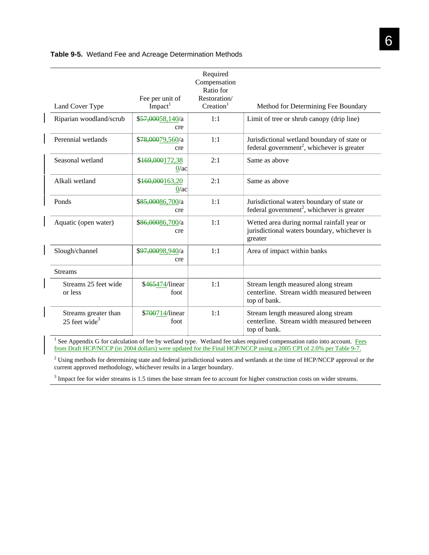| Land Cover Type                                   | Fee per unit of<br>Impack <sup>1</sup> | Required<br>Compensation<br>Ratio for<br>Restoration/<br>$C_{\text{reaction}}^1$ | Method for Determining Fee Boundary                                                                   |
|---------------------------------------------------|----------------------------------------|----------------------------------------------------------------------------------|-------------------------------------------------------------------------------------------------------|
| Riparian woodland/scrub                           | \$57,00058,140/a<br>cre                | 1:1                                                                              | Limit of tree or shrub canopy (drip line)                                                             |
| Perennial wetlands                                | \$78,00079,560/a<br>cre                | 1:1                                                                              | Jurisdictional wetland boundary of state or<br>federal government <sup>2</sup> , whichever is greater |
| Seasonal wetland                                  | \$169,000172,38<br>$0/a$ c             | 2:1                                                                              | Same as above                                                                                         |
| Alkali wetland                                    | \$160,000163,20<br>$0/a$ c             | 2:1                                                                              | Same as above                                                                                         |
| Ponds                                             | \$85,00086,700/a<br>cre                | 1:1                                                                              | Jurisdictional waters boundary of state or<br>federal government <sup>2</sup> , whichever is greater  |
| Aquatic (open water)                              | \$ <del>86,000</del> 86,700/a<br>cre   | 1:1                                                                              | Wetted area during normal rainfall year or<br>jurisdictional waters boundary, whichever is<br>greater |
| Slough/channel                                    | \$ <del>97,000</del> 98,940/a<br>cre   | 1:1                                                                              | Area of impact within banks                                                                           |
| <b>Streams</b>                                    |                                        |                                                                                  |                                                                                                       |
| Streams 25 feet wide<br>or less                   | \$465474/linear<br>foot                | 1:1                                                                              | Stream length measured along stream<br>centerline. Stream width measured between<br>top of bank.      |
| Streams greater than<br>25 feet wide <sup>3</sup> | \$700714/linear<br>foot                | 1:1                                                                              | Stream length measured along stream<br>centerline. Stream width measured between<br>top of bank.      |

#### **Table 9-5.** Wetland Fee and Acreage Determination Methods

<sup>1</sup> See Appendix G for calculation of fee by wetland type. Wetland fee takes required compensation ratio into account. Fees from Draft HCP/NCCP (in 2004 dollars) were updated for the Final HCP/NCCP using a 2005 CPI of 2.0% per Table 9-7.

 $2^2$  Using methods for determining state and federal jurisdictional waters and wetlands at the time of HCP/NCCP approval or the current approved methodology, whichever results in a larger boundary.

<sup>3</sup> Impact fee for wider streams is 1.5 times the base stream fee to account for higher construction costs on wider streams.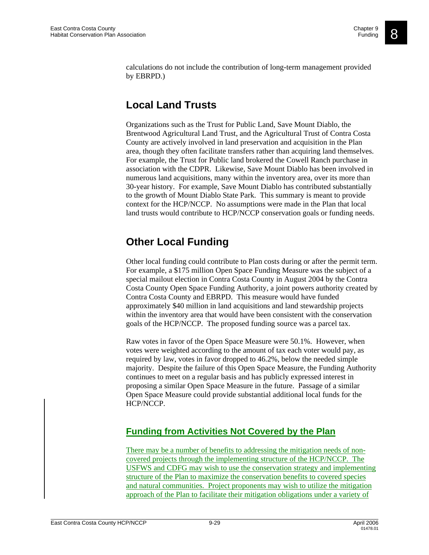calculations do not include the contribution of long-term management provided by EBRPD.)

# **Local Land Trusts**

Organizations such as the Trust for Public Land, Save Mount Diablo, the Brentwood Agricultural Land Trust, and the Agricultural Trust of Contra Costa County are actively involved in land preservation and acquisition in the Plan area, though they often facilitate transfers rather than acquiring land themselves. For example, the Trust for Public land brokered the Cowell Ranch purchase in association with the CDPR. Likewise, Save Mount Diablo has been involved in numerous land acquisitions, many within the inventory area, over its more than 30-year history. For example, Save Mount Diablo has contributed substantially to the growth of Mount Diablo State Park. This summary is meant to provide context for the HCP/NCCP. No assumptions were made in the Plan that local land trusts would contribute to HCP/NCCP conservation goals or funding needs.

# **Other Local Funding**

Other local funding could contribute to Plan costs during or after the permit term. For example, a \$175 million Open Space Funding Measure was the subject of a special mailout election in Contra Costa County in August 2004 by the Contra Costa County Open Space Funding Authority, a joint powers authority created by Contra Costa County and EBRPD. This measure would have funded approximately \$40 million in land acquisitions and land stewardship projects within the inventory area that would have been consistent with the conservation goals of the HCP/NCCP. The proposed funding source was a parcel tax.

Raw votes in favor of the Open Space Measure were 50.1%. However, when votes were weighted according to the amount of tax each voter would pay, as required by law, votes in favor dropped to 46.2%, below the needed simple majority. Despite the failure of this Open Space Measure, the Funding Authority continues to meet on a regular basis and has publicly expressed interest in proposing a similar Open Space Measure in the future. Passage of a similar Open Space Measure could provide substantial additional local funds for the HCP/NCCP.

# **Funding from Activities Not Covered by the Plan**

There may be a number of benefits to addressing the mitigation needs of noncovered projects through the implementing structure of the HCP/NCCP. The USFWS and CDFG may wish to use the conservation strategy and implementing structure of the Plan to maximize the conservation benefits to covered species and natural communities. Project proponents may wish to utilize the mitigation approach of the Plan to facilitate their mitigation obligations under a variety of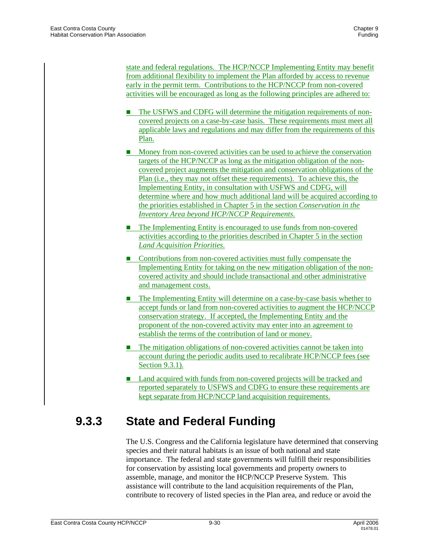state and federal regulations. The HCP/NCCP Implementing Entity may benefit from additional flexibility to implement the Plan afforded by access to revenue early in the permit term. Contributions to the HCP/NCCP from non-covered activities will be encouraged as long as the following principles are adhered to:

- **The USFWS and CDFG will determine the mitigation requirements of non**covered projects on a case-by-case basis. These requirements must meet all applicable laws and regulations and may differ from the requirements of this Plan.
- **Money from non-covered activities can be used to achieve the conservation** targets of the HCP/NCCP as long as the mitigation obligation of the noncovered project augments the mitigation and conservation obligations of the Plan (i.e., they may not offset these requirements). To achieve this, the Implementing Entity, in consultation with USFWS and CDFG, will determine where and how much additional land will be acquired according to the priorities established in Chapter 5 in the section *Conservation in the Inventory Area beyond HCP/NCCP Requirements.*
- The Implementing Entity is encouraged to use funds from non-covered activities according to the priorities described in Chapter 5 in the section *Land Acquisition Priorities*.
- Contributions from non-covered activities must fully compensate the Implementing Entity for taking on the new mitigation obligation of the noncovered activity and should include transactional and other administrative and management costs.
- **The Implementing Entity will determine on a case-by-case basis whether to** accept funds or land from non-covered activities to augment the HCP/NCCP conservation strategy. If accepted, the Implementing Entity and the proponent of the non-covered activity may enter into an agreement to establish the terms of the contribution of land or money.
- The mitigation obligations of non-covered activities cannot be taken into account during the periodic audits used to recalibrate HCP/NCCP fees (see Section 9.3.1).
- Land acquired with funds from non-covered projects will be tracked and reported separately to USFWS and CDFG to ensure these requirements are kept separate from HCP/NCCP land acquisition requirements.

# **9.3.3 State and Federal Funding**

The U.S. Congress and the California legislature have determined that conserving species and their natural habitats is an issue of both national and state importance. The federal and state governments will fulfill their responsibilities for conservation by assisting local governments and property owners to assemble, manage, and monitor the HCP/NCCP Preserve System. This assistance will contribute to the land acquisition requirements of the Plan, contribute to recovery of listed species in the Plan area, and reduce or avoid the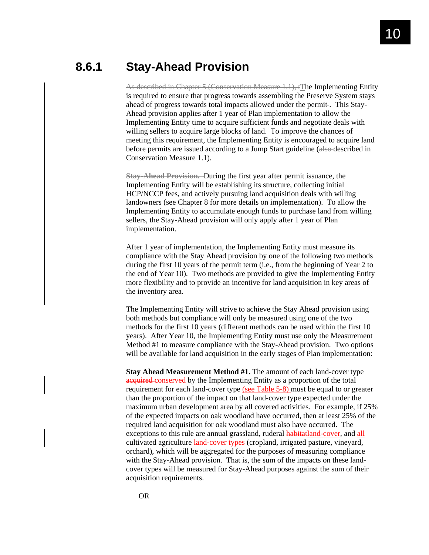# **8.6.1 Stay-Ahead Provision**

As described in Chapter 5 (Conservation Measure 1.1), tThe Implementing Entity is required to ensure that progress towards assembling the Preserve System stays ahead of progress towards total impacts allowed under the permit-. This Stay-Ahead provision applies after 1 year of Plan implementation to allow the Implementing Entity time to acquire sufficient funds and negotiate deals with willing sellers to acquire large blocks of land. To improve the chances of meeting this requirement, the Implementing Entity is encouraged to acquire land before permits are issued according to a Jump Start guideline (also described in Conservation Measure 1.1).

**Stay-Ahead Provision.** During the first year after permit issuance, the Implementing Entity will be establishing its structure, collecting initial HCP/NCCP fees, and actively pursuing land acquisition deals with willing landowners (see Chapter 8 for more details on implementation). To allow the Implementing Entity to accumulate enough funds to purchase land from willing sellers, the Stay-Ahead provision will only apply after 1 year of Plan implementation.

After 1 year of implementation, the Implementing Entity must measure its compliance with the Stay Ahead provision by one of the following two methods during the first 10 years of the permit term (i.e., from the beginning of Year 2 to the end of Year 10). Two methods are provided to give the Implementing Entity more flexibility and to provide an incentive for land acquisition in key areas of the inventory area.

The Implementing Entity will strive to achieve the Stay Ahead provision using both methods but compliance will only be measured using one of the two methods for the first 10 years (different methods can be used within the first 10 years). After Year 10, the Implementing Entity must use only the Measurement Method #1 to measure compliance with the Stay-Ahead provision. Two options will be available for land acquisition in the early stages of Plan implementation:

**Stay Ahead Measurement Method #1.** The amount of each land-cover type acquired conserved by the Implementing Entity as a proportion of the total requirement for each land-cover type (see Table 5-8) must be equal to or greater than the proportion of the impact on that land-cover type expected under the maximum urban development area by all covered activities. For example, if 25% of the expected impacts on oak woodland have occurred, then at least 25% of the required land acquisition for oak woodland must also have occurred. The exceptions to this rule are annual grassland, ruderal habitatland-cover, and all cultivated agriculture *land-cover types* (cropland, irrigated pasture, vineyard, orchard), which will be aggregated for the purposes of measuring compliance with the Stay-Ahead provision. That is, the sum of the impacts on these landcover types will be measured for Stay-Ahead purposes against the sum of their acquisition requirements.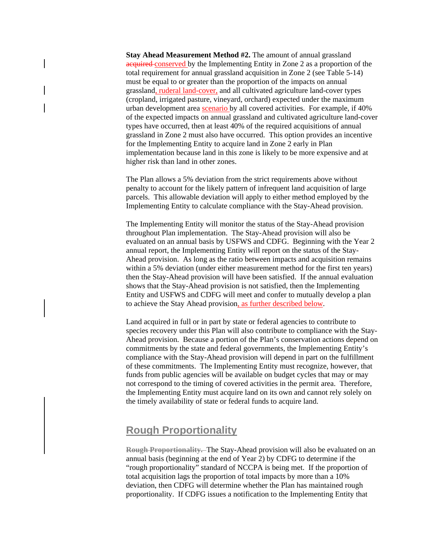**Stay Ahead Measurement Method #2.** The amount of annual grassland acquired conserved by the Implementing Entity in Zone 2 as a proportion of the total requirement for annual grassland acquisition in Zone 2 (see Table 5-14) must be equal to or greater than the proportion of the impacts on annual grassland, ruderal land-cover, and all cultivated agriculture land-cover types (cropland, irrigated pasture, vineyard, orchard) expected under the maximum urban development area scenario by all covered activities. For example, if 40% of the expected impacts on annual grassland and cultivated agriculture land-cover types have occurred, then at least 40% of the required acquisitions of annual grassland in Zone 2 must also have occurred. This option provides an incentive for the Implementing Entity to acquire land in Zone 2 early in Plan implementation because land in this zone is likely to be more expensive and at higher risk than land in other zones.

The Plan allows a 5% deviation from the strict requirements above without penalty to account for the likely pattern of infrequent land acquisition of large parcels. This allowable deviation will apply to either method employed by the Implementing Entity to calculate compliance with the Stay-Ahead provision.

The Implementing Entity will monitor the status of the Stay-Ahead provision throughout Plan implementation. The Stay-Ahead provision will also be evaluated on an annual basis by USFWS and CDFG. Beginning with the Year 2 annual report, the Implementing Entity will report on the status of the Stay-Ahead provision. As long as the ratio between impacts and acquisition remains within a 5% deviation (under either measurement method for the first ten years) then the Stay-Ahead provision will have been satisfied. If the annual evaluation shows that the Stay-Ahead provision is not satisfied, then the Implementing Entity and USFWS and CDFG will meet and confer to mutually develop a plan to achieve the Stay Ahead provision, as further described below.

Land acquired in full or in part by state or federal agencies to contribute to species recovery under this Plan will also contribute to compliance with the Stay-Ahead provision. Because a portion of the Plan's conservation actions depend on commitments by the state and federal governments, the Implementing Entity's compliance with the Stay-Ahead provision will depend in part on the fulfillment of these commitments. The Implementing Entity must recognize, however, that funds from public agencies will be available on budget cycles that may or may not correspond to the timing of covered activities in the permit area. Therefore, the Implementing Entity must acquire land on its own and cannot rely solely on the timely availability of state or federal funds to acquire land.

# **Rough Proportionality**

**Rough Proportionality.** The Stay-Ahead provision will also be evaluated on an annual basis (beginning at the end of Year 2) by CDFG to determine if the "rough proportionality" standard of NCCPA is being met. If the proportion of total acquisition lags the proportion of total impacts by more than a 10% deviation, then CDFG will determine whether the Plan has maintained rough proportionality. If CDFG issues a notification to the Implementing Entity that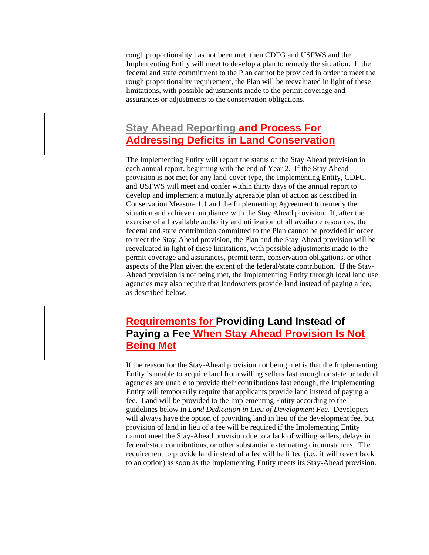rough proportionality has not been met, then CDFG and USFWS and the Implementing Entity will meet to develop a plan to remedy the situation. If the federal and state commitment to the Plan cannot be provided in order to meet the rough proportionality requirement, the Plan will be reevaluated in light of these limitations, with possible adjustments made to the permit coverage and assurances or adjustments to the conservation obligations.

# **Stay Ahead Reporting and Process For Addressing Deficits in Land Conservation**

The Implementing Entity will report the status of the Stay Ahead provision in each annual report, beginning with the end of Year 2. If the Stay Ahead provision is not met for any land-cover type, the Implementing Entity, CDFG, and USFWS will meet and confer within thirty days of the annual report to develop and implement a mutually agreeable plan of action as described in Conservation Measure 1.1 and the Implementing Agreement to remedy the situation and achieve compliance with the Stay Ahead provision. If, after the exercise of all available authority and utilization of all available resources, the federal and state contribution committed to the Plan cannot be provided in order to meet the Stay-Ahead provision, the Plan and the Stay-Ahead provision will be reevaluated in light of these limitations, with possible adjustments made to the permit coverage and assurances, permit term, conservation obligations, or other aspects of the Plan given the extent of the federal/state contribution. If the Stay-Ahead provision is not being met, the Implementing Entity through local land use agencies may also require that landowners provide land instead of paying a fee, as described below.

# **Requirements for Providing Land Instead of Paying a Fee When Stay Ahead Provision Is Not Being Met**

If the reason for the Stay-Ahead provision not being met is that the Implementing Entity is unable to acquire land from willing sellers fast enough or state or federal agencies are unable to provide their contributions fast enough, the Implementing Entity will temporarily require that applicants provide land instead of paying a fee. Land will be provided to the Implementing Entity according to the guidelines below in *Land Dedication in Lieu of Development Fee*. Developers will always have the option of providing land in lieu of the development fee, but provision of land in lieu of a fee will be required if the Implementing Entity cannot meet the Stay-Ahead provision due to a lack of willing sellers, delays in federal/state contributions, or other substantial extenuating circumstances. The requirement to provide land instead of a fee will be lifted (i.e., it will revert back to an option) as soon as the Implementing Entity meets its Stay-Ahead provision.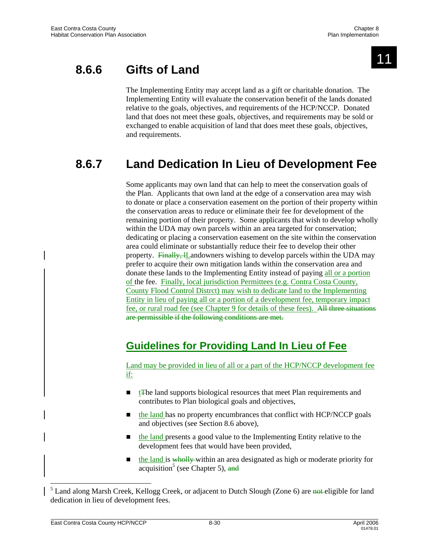

# **8.6.6 Gifts of Land**

The Implementing Entity may accept land as a gift or charitable donation. The Implementing Entity will evaluate the conservation benefit of the lands donated relative to the goals, objectives, and requirements of the HCP/NCCP. Donated land that does not meet these goals, objectives, and requirements may be sold or exchanged to enable acquisition of land that does meet these goals, objectives, and requirements.

# **8.6.7 Land Dedication In Lieu of Development Fee**

Some applicants may own land that can help to meet the conservation goals of the Plan. Applicants that own land at the edge of a conservation area may wish to donate or place a conservation easement on the portion of their property within the conservation areas to reduce or eliminate their fee for development of the remaining portion of their property. Some applicants that wish to develop wholly within the UDA may own parcels within an area targeted for conservation; dedicating or placing a conservation easement on the site within the conservation area could eliminate or substantially reduce their fee to develop their other property. Finally, *L*Landowners wishing to develop parcels within the UDA may prefer to acquire their own mitigation lands within the conservation area and donate these lands to the Implementing Entity instead of paying all or a portion of the fee. Finally, local jurisdiction Permittees (e.g. Contra Costa County, County Flood Control Distrct) may wish to dedicate land to the Implementing Entity in lieu of paying all or a portion of a development fee, temporary impact fee, or rural road fee (see Chapter 9 for details of these fees). All three situations are permissible if the following conditions are met.

# **Guidelines for Providing Land In Lieu of Fee**

Land may be provided in lieu of all or a part of the HCP/NCCP development fee if:

- $\blacksquare$  the land supports biological resources that meet Plan requirements and contributes to Plan biological goals and objectives,
- $\blacksquare$  the land has no property encumbrances that conflict with HCP/NCCP goals and objectives (see Section 8.6 above),
- **the land presents a good value to the Implementing Entity relative to the** development fees that would have been provided,
- $\blacksquare$  the land is wholly-within an area designated as high or moderate priority for acquisition<sup>5</sup> (see Chapter 5), and

l

<sup>&</sup>lt;sup>5</sup> Land along Marsh Creek, Kellogg Creek, or adjacent to Dutch Slough (Zone 6) are not eligible for land dedication in lieu of development fees.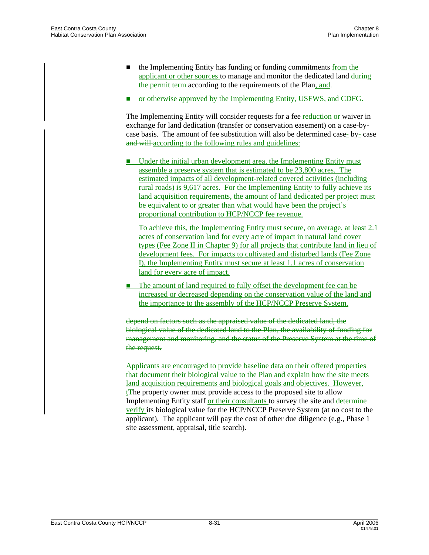- $\blacksquare$  the Implementing Entity has funding or funding commitments from the applicant or other sources to manage and monitor the dedicated land during the permit term according to the requirements of the Plan, and.
- or otherwise approved by the Implementing Entity, USFWS, and CDFG.

The Implementing Entity will consider requests for a fee reduction or waiver in exchange for land dedication (transfer or conservation easement) on a case-bycase basis. The amount of fee substitution will also be determined case-by-case and will according to the following rules and guidelines:

 Under the initial urban development area, the Implementing Entity must assemble a preserve system that is estimated to be 23,800 acres. The estimated impacts of all development-related covered activities (including rural roads) is 9,617 acres. For the Implementing Entity to fully achieve its land acquisition requirements, the amount of land dedicated per project must be equivalent to or greater than what would have been the project's proportional contribution to HCP/NCCP fee revenue.

To achieve this, the Implementing Entity must secure, on average, at least 2.1 acres of conservation land for every acre of impact in natural land cover types (Fee Zone II in Chapter 9) for all projects that contribute land in lieu of development fees. For impacts to cultivated and disturbed lands (Fee Zone I), the Implementing Entity must secure at least 1.1 acres of conservation land for every acre of impact.

 $\blacksquare$  The amount of land required to fully offset the development fee can be increased or decreased depending on the conservation value of the land and the importance to the assembly of the HCP/NCCP Preserve System.

depend on factors such as the appraised value of the dedicated land, the biological value of the dedicated land to the Plan, the availability of funding for management and monitoring, and the status of the Preserve System at the time of the request.

Applicants are encouraged to provide baseline data on their offered properties that document their biological value to the Plan and explain how the site meets land acquisition requirements and biological goals and objectives. However, tThe property owner must provide access to the proposed site to allow Implementing Entity staff or their consultants to survey the site and determine verify its biological value for the HCP/NCCP Preserve System (at no cost to the applicant). The applicant will pay the cost of other due diligence (e.g., Phase 1 site assessment, appraisal, title search).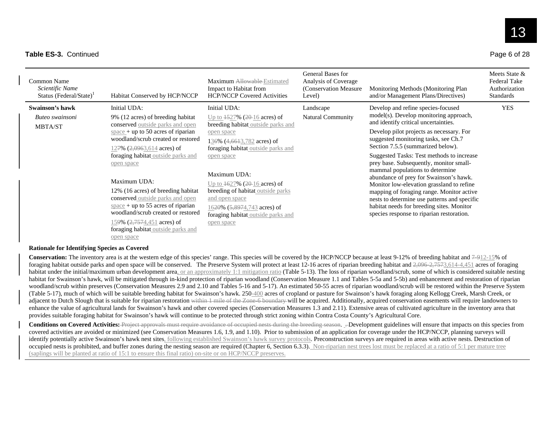# 13

#### **Table ES-3. Continued**

| Page 6 of 28 |  |  |  |  |
|--------------|--|--|--|--|
|--------------|--|--|--|--|

| Common Name<br>Scientific Name<br>Status (Federal/State) <sup>1</sup> | Habitat Conserved by HCP/NCCP                                                                                                                                                                                                                                                                                                                                                                                                                                                                                   | Maximum Allowable-Estimated<br>Impact to Habitat from<br><b>HCP/NCCP Covered Activities</b>                                                                                                                                                                                                                                                                                                         | General Bases for<br>Analysis of Coverage<br>(Conservation Measure)<br>Level) | Monitoring Methods (Monitoring Plan<br>and/or Management Plans/Directives)                                                                                                                                                                                                                                                                                                                                                                                                                                                                                                                                                                             | Meets State &<br><b>Federal Take</b><br>Authorization<br><b>Standards</b> |
|-----------------------------------------------------------------------|-----------------------------------------------------------------------------------------------------------------------------------------------------------------------------------------------------------------------------------------------------------------------------------------------------------------------------------------------------------------------------------------------------------------------------------------------------------------------------------------------------------------|-----------------------------------------------------------------------------------------------------------------------------------------------------------------------------------------------------------------------------------------------------------------------------------------------------------------------------------------------------------------------------------------------------|-------------------------------------------------------------------------------|--------------------------------------------------------------------------------------------------------------------------------------------------------------------------------------------------------------------------------------------------------------------------------------------------------------------------------------------------------------------------------------------------------------------------------------------------------------------------------------------------------------------------------------------------------------------------------------------------------------------------------------------------------|---------------------------------------------------------------------------|
| Swainson's hawk<br>Buteo swainsoni<br><b>MBTA/ST</b>                  | Initial UDA:<br>9% (12 acres) of breeding habitat<br>conserved outside parks and open<br>$space + up to 50 acres of riparian$<br>woodland/scrub created or restored<br>127% $(2,0.063, 614 \text{ acres})$ of<br>foraging habitat outside parks and<br>open space<br>Maximum UDA:<br>12% (16 acres) of breeding habitat<br>conserved outside parks and open<br>$space + up to 55 acres of riparian$<br>woodland/scrub created or restored<br>159% $(2,7574,451$ acres) of<br>foraging habitat outside parks and | Initial UDA:<br>Up to $\frac{1527\%}{20-16}$ acres) of<br>breeding habitat outside parks and<br>open space<br>136% (4,6613,782 acres) of<br>foraging habitat_outside parks and<br>open space<br>Maximum UDA:<br>Up to 1627% (20-16 acres) of<br>breeding of habitat outside parks<br>and open space<br>16 <del>20</del> % (5,8974,743 acres) of<br>foraging habitat outside parks and<br>open space | Landscape<br><b>Natural Community</b>                                         | Develop and refine species-focused<br>model(s). Develop monitoring approach,<br>and identify critical uncertainties.<br>Develop pilot projects as necessary. For<br>suggested monitoring tasks, see Ch.7<br>Section 7.5.5 (summarized below).<br>Suggested Tasks: Test methods to increase<br>prey base. Subsequently, monitor small-<br>mammal populations to determine<br>abundance of prey for Swainson's hawk.<br>Monitor low-elevation grassland to refine<br>mapping of foraging range. Monitor active<br>nests to determine use patterns and specific<br>habitat needs for breeding sites. Monitor<br>species response to riparian restoration. | <b>YES</b>                                                                |

open space

#### **Rationale for Identifying Species as Covered**

**Conservation:** The inventory area is at the western edge of this species' range. This species will be covered by the HCP/NCCP because at least 9-12% of breeding habitat and 7-912-15% of foraging habitat outside parks and open space will be conserved. The Preserve System will protect at least 12-16 acres of riparian breeding habitat and 2,096-2,7573,614-4,451 acres of foraging habitat under the initial/maximum urban development area, or an approximately 1:1 mitigation ratio (Table 5-13). The loss of riparian woodland/scrub, some of which is considered suitable nesting habitat for Swainson's hawk, will be mitigated through in-kind protection of riparian woodland (Conservation Measure 1.1 and Tables 5-5a and 5-5b) and enhancement and restoration of riparian woodland/scrub within preserves (Conservation Measures 2.9 and 2.10 and Tables 5-16 and 5-17). An estimated 50-55 acres of riparian woodland/scrub will be restored within the Preserve System (Table 5-17), much of which will be suitable breeding habitat for Swainson's hawk. 250-400 acres of cropland or pasture for Swainson's hawk foraging along Kellogg Creek, Marsh Creek, or adjacent to Dutch Slough that is suitable for riparian restoration within 1 mile of the Zone-6 boundary will be acquired. Additionally, acquired conservation easements will require landowners to enhance the value of agricultural lands for Swainson's hawk and other covered species (Conservation Measures 1.3 and 2.11). Extensive areas of cultivated agriculture in the inventory area that provides suitable foraging habitat for Swainson's hawk will continue to be protected through strict zoning within Contra Costa County's Agricultural Core.

**Conditions on Covered Activities:** Project approvals must require avoidance of occupied nests during the breeding season. . Development guidelines will ensure that impacts on this species from covered activities are avoided or minimized (see Conservation Measures 1.6, 1.9, and 1.10). Prior to submission of an application for coverage under the HCP/NCCP, planning surveys will identify potentially active Swainson's hawk nest sites, following established Swainson's hawk survey protocols. Preconstruction surveys are required in areas with active nests. Destruction of occupied nests is prohibited, and buffer zones during the nesting season are required (Chapter 6, Section 6.3.3). Non-riparian nest trees lost must be replaced at a ratio of 5:1 per mature tree (saplings will be planted at ratio of 15:1 to ensure this final ratio) on-site or on HCP/NCCP preserves.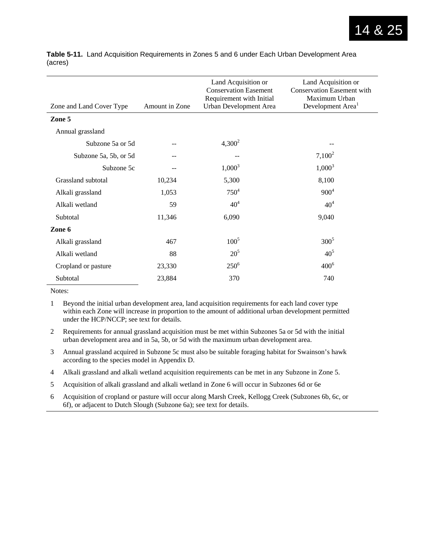| Zone and Land Cover Type | Amount in Zone | Land Acquisition or<br><b>Conservation Easement</b><br>Requirement with Initial<br>Urban Development Area | Land Acquisition or<br><b>Conservation Easement with</b><br>Maximum Urban<br>Development Area <sup>1</sup> |
|--------------------------|----------------|-----------------------------------------------------------------------------------------------------------|------------------------------------------------------------------------------------------------------------|
| Zone 5                   |                |                                                                                                           |                                                                                                            |
| Annual grassland         |                |                                                                                                           |                                                                                                            |
| Subzone 5a or 5d         |                | $4,300^2$                                                                                                 |                                                                                                            |
| Subzone 5a, 5b, or 5d    |                |                                                                                                           | $7,100^2$                                                                                                  |
| Subzone 5c               |                | $1,000^3$                                                                                                 | $1,000^3$                                                                                                  |
| Grassland subtotal       | 10,234         | 5,300                                                                                                     | 8,100                                                                                                      |
| Alkali grassland         | 1,053          | $750^{4}$                                                                                                 | $900^4$                                                                                                    |
| Alkali wetland           | 59             | 40 <sup>4</sup>                                                                                           | 40 <sup>4</sup>                                                                                            |
| Subtotal                 | 11,346         | 6,090                                                                                                     | 9,040                                                                                                      |
| Zone 6                   |                |                                                                                                           |                                                                                                            |
| Alkali grassland         | 467            | $100^5$                                                                                                   | $300^5$                                                                                                    |
| Alkali wetland           | 88             | $20^{5}$                                                                                                  | 40 <sup>5</sup>                                                                                            |
| Cropland or pasture      | 23,330         | $250^6$                                                                                                   | $400^6$                                                                                                    |
| Subtotal                 | 23,884         | 370                                                                                                       | 740                                                                                                        |

**Table 5-11.** Land Acquisition Requirements in Zones 5 and 6 under Each Urban Development Area (acres)

Notes:

1 Beyond the initial urban development area, land acquisition requirements for each land cover type within each Zone will increase in proportion to the amount of additional urban development permitted under the HCP/NCCP; see text for details.

- 2 Requirements for annual grassland acquisition must be met within Subzones 5a or 5d with the initial urban development area and in 5a, 5b, or 5d with the maximum urban development area.
- 3 Annual grassland acquired in Subzone 5c must also be suitable foraging habitat for Swainson's hawk according to the species model in Appendix D.
- 4 Alkali grassland and alkali wetland acquisition requirements can be met in any Subzone in Zone 5.
- 5 Acquisition of alkali grassland and alkali wetland in Zone 6 will occur in Subzones 6d or 6e
- 6 Acquisition of cropland or pasture will occur along Marsh Creek, Kellogg Creek (Subzones 6b, 6c, or 6f), or adjacent to Dutch Slough (Subzone 6a); see text for details.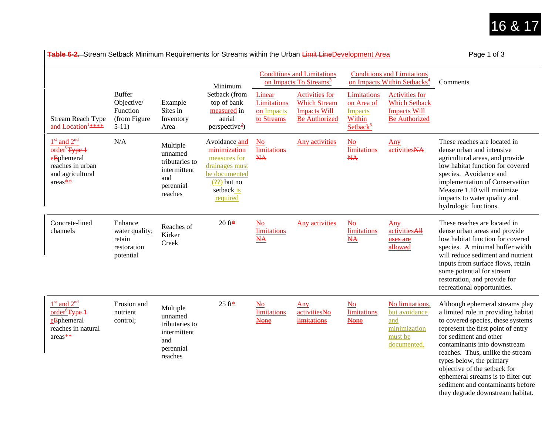

**Table 6-2.**–Stream Setback Minimum Requirements for Streams within the Urban <del>Limit Line</del>Development Area Page 1 of 3 Page 1 of 3

|                                                                                                               |                                                                     |                                                                                      | Minimum                                                                                                                                          |                                                   | <b>Conditions and Limitations</b><br>on Impacts To Streams <sup>3</sup>                     |                                                                                      | <b>Conditions and Limitations</b><br>on Impacts Within Setbacks <sup>4</sup>                 | Comments                                                                                                                                                                                                                                                                                                                                                                                                                  |
|---------------------------------------------------------------------------------------------------------------|---------------------------------------------------------------------|--------------------------------------------------------------------------------------|--------------------------------------------------------------------------------------------------------------------------------------------------|---------------------------------------------------|---------------------------------------------------------------------------------------------|--------------------------------------------------------------------------------------|----------------------------------------------------------------------------------------------|---------------------------------------------------------------------------------------------------------------------------------------------------------------------------------------------------------------------------------------------------------------------------------------------------------------------------------------------------------------------------------------------------------------------------|
| <b>Stream Reach Type</b><br>and Location <sup>1</sup> ****                                                    | <b>Buffer</b><br>Objective/<br>Function<br>(from Figure)<br>$5-11)$ | Example<br>Sites in<br>Inventory<br>Area                                             | Setback (from<br>top of bank<br>measured in<br>aerial<br>perspective <sup>2</sup> )                                                              | Linear<br>Limitations<br>on Impacts<br>to Streams | <b>Activities for</b><br><b>Which Stream</b><br><b>Impacts Will</b><br><b>Be Authorized</b> | <b>Limitations</b><br>on Area of<br><b>Impacts</b><br>Within<br>Setback <sup>5</sup> | <b>Activities for</b><br><b>Which Setback</b><br><b>Impacts Will</b><br><b>Be Authorized</b> |                                                                                                                                                                                                                                                                                                                                                                                                                           |
| $1st$ and $2nd$<br>order <sup>6</sup> Type 1<br>eEphemeral<br>reaches in urban<br>and agricultural<br>areas** | N/A                                                                 | Multiple<br>unnamed<br>tributaries to<br>intermittent<br>and<br>perennial<br>reaches | Avoidance and<br>minimization<br>measures for<br>drainages must<br>be documented<br>$\left(\frac{22}{2}\right)$ but no<br>setback is<br>required | N <sub>o</sub><br>limitations<br><b>NA</b>        | <b>Any activities</b>                                                                       | N <sub>o</sub><br>limitations<br>$\underline{NA}$                                    | Any<br>activitiesNA                                                                          | These reaches are located in<br>dense urban and intensive<br>agricultural areas, and provide<br>low habitat function for covered<br>species. Avoidance and<br>implementation of Conservation<br>Measure 1.10 will minimize<br>impacts to water quality and<br>hydrologic functions.                                                                                                                                       |
| Concrete-lined<br>channels                                                                                    | Enhance<br>water quality;<br>retain<br>restoration<br>potential     | Reaches of<br>Kirker<br>Creek                                                        | 20 ft $\pm$                                                                                                                                      | $No$<br>limitations<br>$\underline{NA}$           | <b>Any activities</b>                                                                       | $\underline{\text{No}}$<br>limitations<br>$\underline{NA}$                           | Any<br>activitiesAll<br>uses are<br>allowed                                                  | These reaches are located in<br>dense urban areas and provide<br>low habitat function for covered<br>species. A minimal buffer width<br>will reduce sediment and nutrient<br>inputs from surface flows, retain<br>some potential for stream<br>restoration, and provide for<br>recreational opportunities.                                                                                                                |
| $1st$ and $2nd$<br>order <sup>6</sup> Type 1<br>eEphemeral<br>reaches in natural<br>$\arccos*$                | Erosion and<br>nutrient<br>control;                                 | Multiple<br>unnamed<br>tributaries to<br>intermittent<br>and<br>perennial<br>reaches | $25$ ft*                                                                                                                                         | $\underline{\mathrm{No}}$<br>limitations<br>None  | Any<br>activitiesNo<br><b>limitations</b>                                                   | $\underline{\mathrm{No}}$<br>limitations<br><b>None</b>                              | No limitations,<br>but avoidance<br>and<br>minimization<br>must be<br>documented.            | Although ephemeral streams play<br>a limited role in providing habitat<br>to covered species, these systems<br>represent the first point of entry<br>for sediment and other<br>contaminants into downstream<br>reaches. Thus, unlike the stream<br>types below, the primary<br>objective of the setback for<br>ephemeral streams is to filter out<br>sediment and contaminants before<br>they degrade downstream habitat. |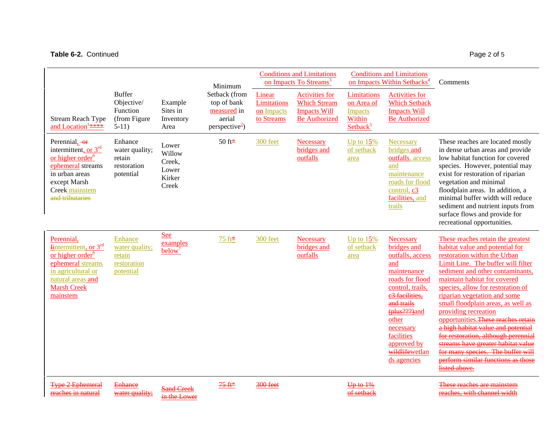## Table 6-2. Continued Page 2 of 5

|                                                                                                                                                                     |                                                                     |                                                       | Minimum                                                                             |                                                   | <b>Conditions and Limitations</b><br>on Impacts To Streams <sup>3</sup>                     |                                                                               | <b>Conditions and Limitations</b><br>on Impacts Within Setbacks <sup>4</sup>                                                                                                                                                                  | Comments                                                                                                                                                                                                                                                                                                                                                                                                                                                                                                                                                                                                |
|---------------------------------------------------------------------------------------------------------------------------------------------------------------------|---------------------------------------------------------------------|-------------------------------------------------------|-------------------------------------------------------------------------------------|---------------------------------------------------|---------------------------------------------------------------------------------------------|-------------------------------------------------------------------------------|-----------------------------------------------------------------------------------------------------------------------------------------------------------------------------------------------------------------------------------------------|---------------------------------------------------------------------------------------------------------------------------------------------------------------------------------------------------------------------------------------------------------------------------------------------------------------------------------------------------------------------------------------------------------------------------------------------------------------------------------------------------------------------------------------------------------------------------------------------------------|
| <b>Stream Reach Type</b><br>and Location <sup>1</sup> ****                                                                                                          | <b>Buffer</b><br>Objective/<br>Function<br>(from Figure)<br>$5-11)$ | Example<br>Sites in<br>Inventory<br>Area              | Setback (from<br>top of bank<br>measured in<br>aerial<br>perspective <sup>2</sup> ) | Linear<br>Limitations<br>on Impacts<br>to Streams | <b>Activities for</b><br><b>Which Stream</b><br><b>Impacts Will</b><br><b>Be Authorized</b> | Limitations<br>on Area of<br><b>Impacts</b><br>Within<br>Setback <sup>5</sup> | <b>Activities for</b><br><b>Which Setback</b><br><b>Impacts Will</b><br><b>Be Authorized</b>                                                                                                                                                  |                                                                                                                                                                                                                                                                                                                                                                                                                                                                                                                                                                                                         |
| Perennial, or<br>intermittent, or $3rd$<br>or higher order <sup>6</sup><br>ephemeral streams<br>in urban areas<br>except Marsh<br>Creek mainstem<br>and tributaries | Enhance<br>water quality;<br>retain<br>restoration<br>potential     | Lower<br>Willow<br>Creek,<br>Lower<br>Kirker<br>Creek | 50 ft*                                                                              | 300 feet                                          | Necessary<br>bridges and<br>outfalls                                                        | Up to $15%$<br>of setback<br>area                                             | Necessary<br>bridges and<br>outfalls, access<br>and<br>maintenance<br>roads for flood<br>control, c3<br>facilities, and<br>trails                                                                                                             | These reaches are located mostly<br>in dense urban areas and provide<br>low habitat function for covered<br>species. However, potential may<br>exist for restoration of riparian<br>vegetation and minimal<br>floodplain areas. In addition, a<br>minimal buffer width will reduce<br>sediment and nutrient inputs from<br>surface flows and provide for<br>recreational opportunities.                                                                                                                                                                                                                 |
| Perennial,<br>$Internet, or 3rd$<br>or higher order <sup>6</sup><br>ephemeral streams<br>in agricultural or<br>natural areas and<br><b>Marsh Creek</b><br>mainstem  | Enhance<br>water quality;<br>retain<br>restoration<br>potential     | <b>See</b><br>examples<br>below <sup>7</sup>          | 75 ft *                                                                             | 300 feet                                          | Necessary<br>bridges and<br>outfalls                                                        | Up to $15%$<br>of setback<br>area                                             | Necessary<br>bridges and<br>outfalls, access<br>and<br>maintenance<br>roads for flood<br>control, trails,<br>e3 facilities,<br>and trails<br>(plus???)and<br>other<br>necessary<br>facilities<br>approved by<br>wildlifewetlan<br>ds agencies | These reaches retain the greatest<br>habitat value and potential for<br>restoration within the Urban<br>Limit Line. The buffer will filter<br>sediment and other contaminants,<br>maintain habitat for covered<br>species, allow for restoration of<br>riparian vegetation and some<br>small floodplain areas, as well as<br>providing recreation<br>opportunities. These reaches retain<br>a high habitat value and potential<br>for restoration, although perennial<br>streams have greater habitat value<br>for many species. The buffer will<br>perform similar functions as those<br>listed above. |
| e <del>2 Ephemeral</del><br>reaches in natural                                                                                                                      | <b>Enhance</b><br>water quality;                                    |                                                       | $75 +$                                                                              | <del>300 fee</del>                                |                                                                                             | of setback                                                                    |                                                                                                                                                                                                                                               | These reaches are mainstem<br>reaches, with channel width                                                                                                                                                                                                                                                                                                                                                                                                                                                                                                                                               |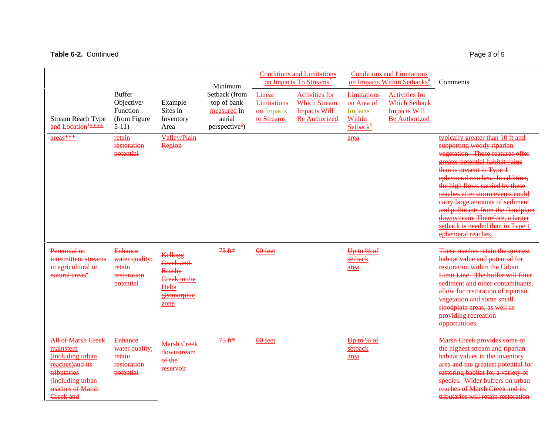#### **Table 6-2.** Continued **Page 3 of 5** Page 3 of 5

tributaries (including urban reaches of Marsh Creek and

potential

reservoir

Conditions and Limitations on Impacts To Streams<sup>3</sup> Conditions and Limitations on Impacts Within Setbacks<sup>4</sup> Comments Stream Reach Type and Location<sup>1</sup>\*\*\*\* Buffer Objective/ Function (from Figure 5-11) Example Sites in Inventory Area Minimum Setback (from top of bank measured in aerial  $perspective<sup>2</sup>)$ Linear Limitations on Impacts to StreamsActivities for Which StreamImpacts Will Be AuthorizedLimitations on Area of Impacts WithinSetback $5$ Activities for Which Setback Impacts Will Be Authorizedareas\*\*\* retain restoration potential Valley/Plain Region area typically greater than 10 ft and supporting woody riparian vegetation. These features offer greater potential habitat value than is present in Type 1 ephemeral reaches. In addition, the high flows carried by these reaches after storm events could carry large amounts of sediment and pollutants from the floodplair downstream. Therefore, a larger setback is needed than in Type ephemeral reaches. Perennial or intermittent streams in agricultural or natural areas<sup> $\ddagger$ </sup> **Enhance** water quality; retain restoration potential Kellogg Creek and, Brushy Creek in the Delta geomorphic zone 75 ft\* 00 feet Up to % of setback area These reaches retain the greatest habitat value and potential for restoration within the Urban Limit Line. The buffer will filter sediment and other contaminants, allow for restoration of riparian vegetation and some small floodplain areas, as well as providing recreation opportunities. All of Marsh Creek mainstem(including urban reaches)and its **Enhance** water quality; retain restoration Marsh Creek downstream of the 75 ft\* 00 feet Up to % of setback area Marsh Creek provides some of the highest stream and riparian habitat values in the inventory area and the greatest potential for

restoring habitat for a variety of species. Wider buffers on urban reaches of Marsh Creek and its tributaries will retain restoration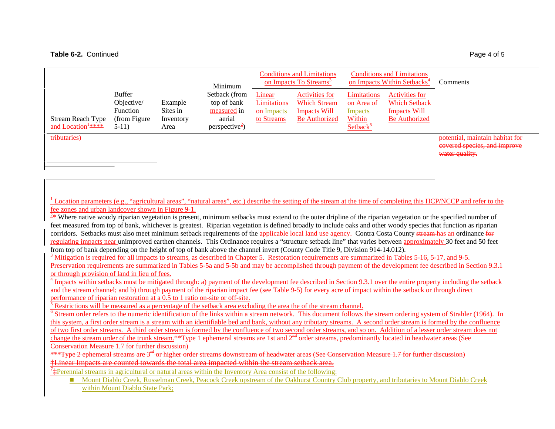|                                                     |                                                                     |                                          | Minimum                                                                             |                                                   | <b>Conditions and Limitations</b><br>on Impacts To Streams <sup>3</sup>              |                                                                               | <b>Conditions and Limitations</b><br>on Impacts Within Setbacks <sup>4</sup>          | Comments                                                                          |
|-----------------------------------------------------|---------------------------------------------------------------------|------------------------------------------|-------------------------------------------------------------------------------------|---------------------------------------------------|--------------------------------------------------------------------------------------|-------------------------------------------------------------------------------|---------------------------------------------------------------------------------------|-----------------------------------------------------------------------------------|
| Stream Reach Type<br>and Location <sup>1</sup> **** | <b>Buffer</b><br>Objective/<br>Function<br>(from Figure)<br>$5-11)$ | Example<br>Sites in<br>Inventory<br>Area | Setback (from<br>top of bank<br>measured in<br>aerial<br>perspective <sup>2</sup> ) | Linear<br>Limitations<br>on Impacts<br>to Streams | Activities for<br><b>Which Stream</b><br><b>Impacts Will</b><br><b>Be Authorized</b> | Limitations<br>on Area of<br>Impacts<br><b>Within</b><br>Setback <sup>5</sup> | Activities for<br><b>Which Setback</b><br><b>Impacts Will</b><br><b>Be Authorized</b> |                                                                                   |
| tributaries)                                        |                                                                     |                                          |                                                                                     |                                                   |                                                                                      |                                                                               |                                                                                       | potential, maintain habitat for<br>covered species, and improve<br>water quality. |

<sup>1</sup> Location parameters (e.g., "agricultural areas", "natural areas", etc.) describe the setting of the stream at the time of completing this HCP/NCCP and refer to the fee zones and urban landcover shown in Figure 9-1.

<sup>2 $\frac{2*}{\pm}$ </sup> Where native woody riparian vegetation is present, minimum setbacks must extend to the outer dripline of the riparian vegetation or the specified number of feet measured from top of bank, whichever is greatest. Riparian vegetation is defined broadly to include oaks and other woody species that function as riparian corridors. Setbacks must also meet minimum setback requirements of the applicable local land use agency. Contra Costa County stream has an ordinance for regulating impacts near unimproved earthen channels. This Ordinance requires a "structure setback line" that varies between approximately 30 feet and 50 feet from top of bank depending on the height of top of bank above the channel invert (County Code Title 9, Division 914-14.012).

<sup>3</sup> Mitigation is required for all impacts to streams, as described in Chapter 5. Restoration requirements are summarized in Tables 5-16, 5-17, and 9-5. Preservation requirements are summarized in Tables 5-5a and 5-5b and may be accomplished through payment of the development fee described in Section 9.3.1 or through provision of land in lieu of fees.

 $^4$  Impacts within setbacks must be mitigated through: a) payment of the development fee described in Section 9.3.1 over the entire property including the setback and the stream channel; and b) through payment of the riparian impact fee (see Table 9-5) for every acre of impact within the setback or through direct performance of riparian restoration at a 0.5 to 1 ratio on-site or off-site.

 $<sup>5</sup>$  Restrictions will be measured as a percentage of the setback area excluding the area the of the stream channel.</sup>

<sup>6</sup> Stream order refers to the numeric identification of the links within a stream network. This document follows the stream ordering system of Strahler (1964). In this system, a first order stream is a stream with an identifiable bed and bank, without any tributary streams. A second order stream is formed by the confluence of two first order streams. A third order stream is formed by the confluence of two second order streams, and so on. Addition of a lesser order stream does not change the stream order of the trunk stream.\*\*Type 1 ephemeral streams are 1st and 2<sup>nd</sup> order streams, predominantly located in headwater areas (See Conservation Measure 1.7 for further discussion)

\*\*\*Type 2 ephemeral streams are 3<sup>rd</sup> or higher order streams downstream of headwater areas (See Conservation Measure 1.7 for further discussion) †Linear Impacts are counted towards the total area impacted within the stream setback area.

 $7\pm$ Perennial streams in agricultural or natural areas within the Inventory Area consist of the following:

**Mount Diablo Creek, Russelman Creek, Peacock Creek upstream of the Oakhurst Country Club property, and tributaries to Mount Diablo Creek** within Mount Diablo State Park;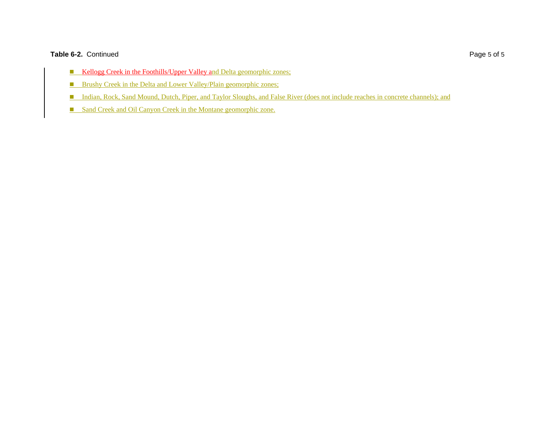#### Table 6-2. Continued Page 5 of 5

- **Kellogg Creek in the Foothills/Upper Valley and Delta geomorphic zones;**
- **Brushy Creek in the Delta and Lower Valley/Plain geomorphic zones;**
- Indian, Rock, Sand Mound, Dutch, Piper, and Taylor Sloughs, and False River (does not include reaches in concrete channels); and
- **Sand Creek and Oil Canyon Creek in the Montane geomorphic zone.**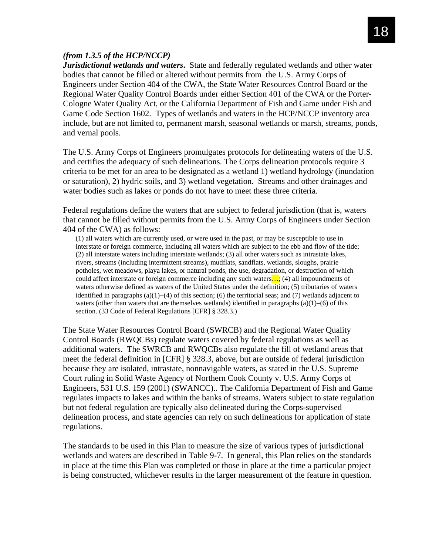#### *(from 1.3.5 of the HCP/NCCP)*

*Jurisdictional wetlands and waters***.** State and federally regulated wetlands and other water bodies that cannot be filled or altered without permits from the U.S. Army Corps of Engineers under Section 404 of the CWA, the State Water Resources Control Board or the Regional Water Quality Control Boards under either Section 401 of the CWA or the Porter-Cologne Water Quality Act, or the California Department of Fish and Game under Fish and Game Code Section 1602. Types of wetlands and waters in the HCP/NCCP inventory area include, but are not limited to, permanent marsh, seasonal wetlands or marsh, streams, ponds, and vernal pools.

The U.S. Army Corps of Engineers promulgates protocols for delineating waters of the U.S. and certifies the adequacy of such delineations. The Corps delineation protocols require 3 criteria to be met for an area to be designated as a wetland 1) wetland hydrology (inundation or saturation), 2) hydric soils, and 3) wetland vegetation. Streams and other drainages and water bodies such as lakes or ponds do not have to meet these three criteria.

Federal regulations define the waters that are subject to federal jurisdiction (that is, waters that cannot be filled without permits from the U.S. Army Corps of Engineers under Section 404 of the CWA) as follows:

(1) all waters which are currently used, or were used in the past, or may be susceptible to use in interstate or foreign commerce, including all waters which are subject to the ebb and flow of the tide; (2) all interstate waters including interstate wetlands; (3) all other waters such as intrastate lakes, rivers, streams (including intermittent streams), mudflats, sandflats, wetlands, sloughs, prairie potholes, wet meadows, playa lakes, or natural ponds, the use, degradation, or destruction of which could affect interstate or foreign commerce including any such waters...; (4) all impoundments of waters otherwise defined as waters of the United States under the definition; (5) tributaries of waters identified in paragraphs (a)(1)−(4) of this section; (6) the territorial seas; and (7) wetlands adjacent to waters (other than waters that are themselves wetlands) identified in paragraphs  $(a)(1)$ –(6) of this section. (33 Code of Federal Regulations [CFR] § 328.3.)

The State Water Resources Control Board (SWRCB) and the Regional Water Quality Control Boards (RWQCBs) regulate waters covered by federal regulations as well as additional waters. The SWRCB and RWQCBs also regulate the fill of wetland areas that meet the federal definition in [CFR] § 328.3, above, but are outside of federal jurisdiction because they are isolated, intrastate, nonnavigable waters, as stated in the U.S. Supreme Court ruling in Solid Waste Agency of Northern Cook County v. U.S. Army Corps of Engineers, 531 U.S. 159 (2001) (SWANCC).. The California Department of Fish and Game regulates impacts to lakes and within the banks of streams. Waters subject to state regulation but not federal regulation are typically also delineated during the Corps-supervised delineation process, and state agencies can rely on such delineations for application of state regulations.

The standards to be used in this Plan to measure the size of various types of jurisdictional wetlands and waters are described in Table 9-7. In general, this Plan relies on the standards in place at the time this Plan was completed or those in place at the time a particular project is being constructed, whichever results in the larger measurement of the feature in question.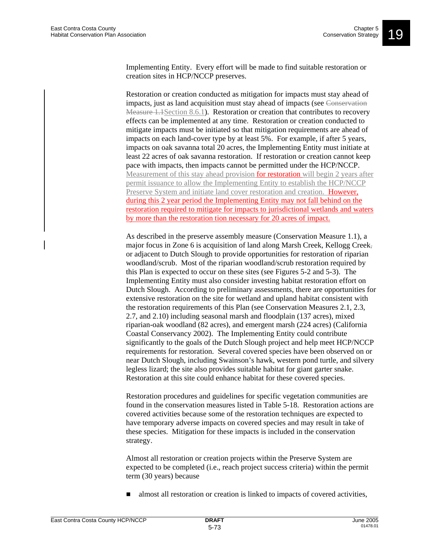Implementing Entity. Every effort will be made to find suitable restoration or creation sites in HCP/NCCP preserves.

Restoration or creation conducted as mitigation for impacts must stay ahead of impacts, just as land acquisition must stay ahead of impacts (see Conservation Measure 1.1Section 8.6.1). Restoration or creation that contributes to recovery effects can be implemented at any time. Restoration or creation conducted to mitigate impacts must be initiated so that mitigation requirements are ahead of impacts on each land-cover type by at least 5%. For example, if after 5 years, impacts on oak savanna total 20 acres, the Implementing Entity must initiate at least 22 acres of oak savanna restoration. If restoration or creation cannot keep pace with impacts, then impacts cannot be permitted under the HCP/NCCP. Measurement of this stay ahead provision for restoration will begin 2 years after permit issuance to allow the Implementing Entity to establish the HCP/NCCP Preserve System and initiate land cover restoration and creation. However, during this 2 year period the Implementing Entity may not fall behind on the restoration required to mitigate for impacts to jurisdictional wetlands and waters by more than the restoration tion necessary for 20 acres of impact.

As described in the preserve assembly measure (Conservation Measure 1.1), a major focus in Zone 6 is acquisition of land along Marsh Creek, Kellogg Creek, or adjacent to Dutch Slough to provide opportunities for restoration of riparian woodland/scrub. Most of the riparian woodland/scrub restoration required by this Plan is expected to occur on these sites (see Figures 5-2 and 5-3). The Implementing Entity must also consider investing habitat restoration effort on Dutch Slough. According to preliminary assessments, there are opportunities for extensive restoration on the site for wetland and upland habitat consistent with the restoration requirements of this Plan (see Conservation Measures 2.1, 2.3, 2.7, and 2.10) including seasonal marsh and floodplain (137 acres), mixed riparian-oak woodland (82 acres), and emergent marsh (224 acres) (California Coastal Conservancy 2002). The Implementing Entity could contribute significantly to the goals of the Dutch Slough project and help meet HCP/NCCP requirements for restoration. Several covered species have been observed on or near Dutch Slough, including Swainson's hawk, western pond turtle, and silvery legless lizard; the site also provides suitable habitat for giant garter snake. Restoration at this site could enhance habitat for these covered species.

Restoration procedures and guidelines for specific vegetation communities are found in the conservation measures listed in Table 5-18. Restoration actions are covered activities because some of the restoration techniques are expected to have temporary adverse impacts on covered species and may result in take of these species. Mitigation for these impacts is included in the conservation strategy.

Almost all restoration or creation projects within the Preserve System are expected to be completed (i.e., reach project success criteria) within the permit term (30 years) because

■ almost all restoration or creation is linked to impacts of covered activities,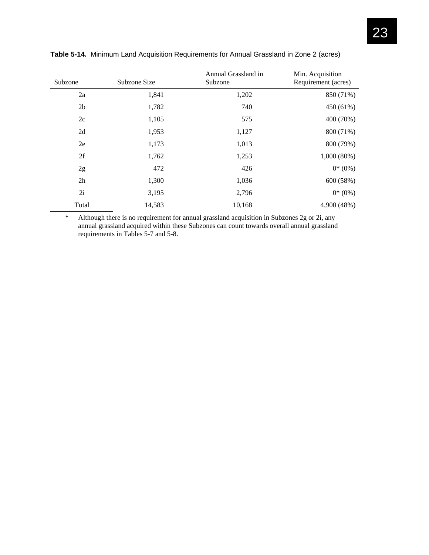| Subzone        | Subzone Size | Annual Grassland in<br>Subzone | Min. Acquisition<br>Requirement (acres) |
|----------------|--------------|--------------------------------|-----------------------------------------|
| 2a             | 1,841        | 1,202                          | 850 (71%)                               |
| 2 <sub>b</sub> | 1,782        | 740                            | 450 (61%)                               |
| 2c             | 1,105        | 575                            | 400 (70%)                               |
| 2d             | 1,953        | 1,127                          | 800 (71%)                               |
| 2e             | 1,173        | 1,013                          | 800 (79%)                               |
| 2f             | 1,762        | 1,253                          | $1,000(80\%)$                           |
| 2g             | 472          | 426                            | $0^*(0\%)$                              |
| 2h             | 1,300        | 1,036                          | 600 (58%)                               |
| 2i             | 3,195        | 2,796                          | $0*(0%)$                                |
| Total          | 14,583       | 10,168                         | 4,900 (48%)                             |

**Table 5-14.** Minimum Land Acquisition Requirements for Annual Grassland in Zone 2 (acres)

\* Although there is no requirement for annual grassland acquisition in Subzones 2g or 2i, any annual grassland acquired within these Subzones can count towards overall annual grassland requirements in Tables 5-7 and 5-8.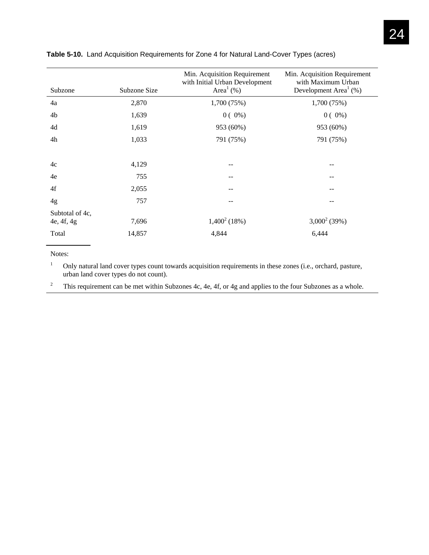| Subzone         | Subzone Size | Min. Acquisition Requirement<br>with Initial Urban Development<br>Area <sup>1</sup> $(\% )$ | Min. Acquisition Requirement<br>with Maximum Urban<br>Development Area <sup>1</sup> $(\%)$ |
|-----------------|--------------|---------------------------------------------------------------------------------------------|--------------------------------------------------------------------------------------------|
| 4a              | 2,870        | 1,700 (75%)                                                                                 | 1,700 (75%)                                                                                |
| 4b              | 1,639        | $0(0\%)$                                                                                    | $0(0\%)$                                                                                   |
| 4d              | 1,619        | 953 (60%)                                                                                   | 953 (60%)                                                                                  |
| 4h              | 1,033        | 791 (75%)                                                                                   | 791 (75%)                                                                                  |
|                 |              |                                                                                             |                                                                                            |
| 4c              | 4,129        |                                                                                             |                                                                                            |
| 4e              | 755          |                                                                                             | --                                                                                         |
| 4f              | 2,055        | --                                                                                          | --                                                                                         |
| 4g              | 757          |                                                                                             |                                                                                            |
| Subtotal of 4c, |              |                                                                                             |                                                                                            |
| 4e, 4f, 4g      | 7,696        | $1,400^2(18%)$                                                                              | $3,000^2(39%)$                                                                             |
| Total           | 14,857       | 4,844                                                                                       | 6,444                                                                                      |

#### **Table 5-10.** Land Acquisition Requirements for Zone 4 for Natural Land-Cover Types (acres)

Notes:

1 Only natural land cover types count towards acquisition requirements in these zones (i.e., orchard, pasture, urban land cover types do not count).

2 This requirement can be met within Subzones 4c, 4e, 4f, or 4g and applies to the four Subzones as a whole.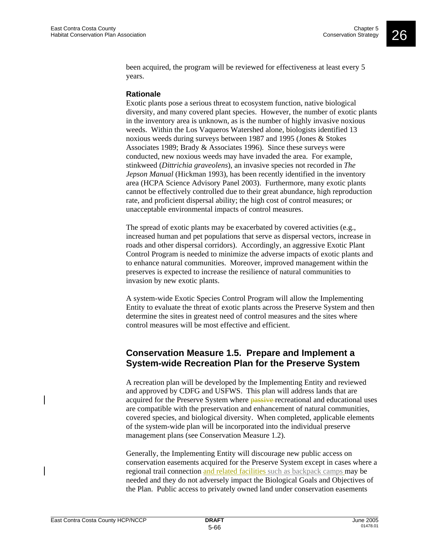been acquired, the program will be reviewed for effectiveness at least every 5 years.

#### **Rationale**

Exotic plants pose a serious threat to ecosystem function, native biological diversity, and many covered plant species. However, the number of exotic plants in the inventory area is unknown, as is the number of highly invasive noxious weeds. Within the Los Vaqueros Watershed alone, biologists identified 13 noxious weeds during surveys between 1987 and 1995 (Jones & Stokes Associates 1989; Brady & Associates 1996). Since these surveys were conducted, new noxious weeds may have invaded the area. For example, stinkweed (*Dittrichia graveolens*), an invasive species not recorded in *The Jepson Manual* (Hickman 1993), has been recently identified in the inventory area (HCPA Science Advisory Panel 2003). Furthermore, many exotic plants cannot be effectively controlled due to their great abundance, high reproduction rate, and proficient dispersal ability; the high cost of control measures; or unacceptable environmental impacts of control measures.

The spread of exotic plants may be exacerbated by covered activities (e.g., increased human and pet populations that serve as dispersal vectors, increase in roads and other dispersal corridors). Accordingly, an aggressive Exotic Plant Control Program is needed to minimize the adverse impacts of exotic plants and to enhance natural communities. Moreover, improved management within the preserves is expected to increase the resilience of natural communities to invasion by new exotic plants.

A system-wide Exotic Species Control Program will allow the Implementing Entity to evaluate the threat of exotic plants across the Preserve System and then determine the sites in greatest need of control measures and the sites where control measures will be most effective and efficient.

# **Conservation Measure 1.5. Prepare and Implement a System-wide Recreation Plan for the Preserve System**

A recreation plan will be developed by the Implementing Entity and reviewed and approved by CDFG and USFWS. This plan will address lands that are acquired for the Preserve System where **passive** recreational and educational uses are compatible with the preservation and enhancement of natural communities, covered species, and biological diversity. When completed, applicable elements of the system-wide plan will be incorporated into the individual preserve management plans (see Conservation Measure 1.2).

Generally, the Implementing Entity will discourage new public access on conservation easements acquired for the Preserve System except in cases where a regional trail connection and related facilities such as backpack camps may be needed and they do not adversely impact the Biological Goals and Objectives of the Plan. Public access to privately owned land under conservation easements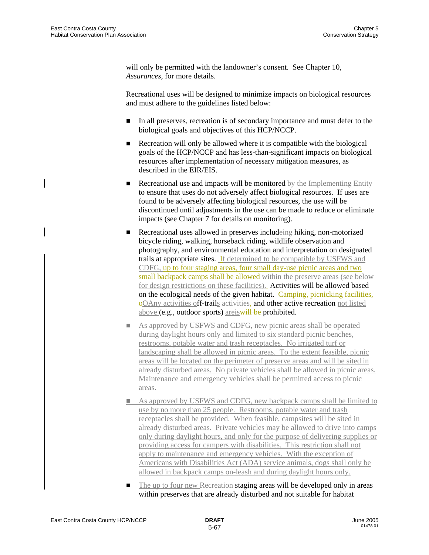will only be permitted with the landowner's consent. See Chapter 10, *Assurances*, for more details.

Recreational uses will be designed to minimize impacts on biological resources and must adhere to the guidelines listed below:

- In all preserves, recreation is of secondary importance and must defer to the biological goals and objectives of this HCP/NCCP.
- Recreation will only be allowed where it is compatible with the biological goals of the HCP/NCCP and has less-than-significant impacts on biological resources after implementation of necessary mitigation measures, as described in the EIR/EIS.
- **Recreational use and impacts will be monitored** by the Implementing Entity to ensure that uses do not adversely affect biological resources. If uses are found to be adversely affecting biological resources, the use will be discontinued until adjustments in the use can be made to reduce or eliminate impacts (see Chapter 7 for details on monitoring).
- Recreational uses allowed in preserves includeing hiking, non-motorized bicycle riding, walking, horseback riding, wildlife observation and photography, and environmental education and interpretation on designated trails at appropriate sites. If determined to be compatible by USFWS and CDFG, up to four staging areas, four small day-use picnic areas and two small backpack camps shall be allowed within the preserve areas (see below for design restrictions on these facilities). Activities will be allowed based on the ecological needs of the given habitat. Camping, picnicking facilities, oOAny activities off-trails activities, and other active recreation not listed above (e.g., outdoor sports) areiswill be prohibited.
- As approved by USFWS and CDFG, new picnic areas shall be operated during daylight hours only and limited to six standard picnic benches, restrooms, potable water and trash receptacles. No irrigated turf or landscaping shall be allowed in picnic areas. To the extent feasible, picnic areas will be located on the perimeter of preserve areas and will be sited in already disturbed areas. No private vehicles shall be allowed in picnic areas. Maintenance and emergency vehicles shall be permitted access to picnic areas.
- As approved by USFWS and CDFG, new backpack camps shall be limited to use by no more than 25 people. Restrooms, potable water and trash receptacles shall be provided. When feasible, campsites will be sited in already disturbed areas. Private vehicles may be allowed to drive into camps only during daylight hours, and only for the purpose of delivering supplies or providing access for campers with disabilities. This restriction shall not apply to maintenance and emergency vehicles. With the exception of Americans with Disabilities Act (ADA) service animals, dogs shall only be allowed in backpack camps on-leash and during daylight hours only.
- The up to four new Recreation-staging areas will be developed only in areas within preserves that are already disturbed and not suitable for habitat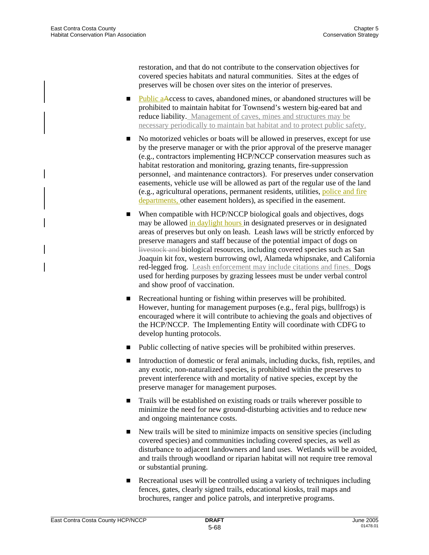restoration, and that do not contribute to the conservation objectives for covered species habitats and natural communities. Sites at the edges of preserves will be chosen over sites on the interior of preserves.

- Public aAccess to caves, abandoned mines, or abandoned structures will be prohibited to maintain habitat for Townsend's western big-eared bat and reduce liability. Management of caves, mines and structures may be necessary periodically to maintain bat habitat and to protect public safety.
- No motorized vehicles or boats will be allowed in preserves, except for use by the preserve manager or with the prior approval of the preserve manager (e.g., contractors implementing HCP/NCCP conservation measures such as habitat restoration and monitoring, grazing tenants, fire-suppression personnel, and maintenance contractors). For preserves under conservation easements, vehicle use will be allowed as part of the regular use of the land (e.g., agricultural operations, permanent residents, utilities, police and fire departments, other easement holders), as specified in the easement.
- When compatible with HCP/NCCP biological goals and objectives, dogs may be allowed in daylight hours in designated preserves or in designated areas of preserves but only on leash. Leash laws will be strictly enforced by preserve managers and staff because of the potential impact of dogs on livestock and biological resources, including covered species such as San Joaquin kit fox, western burrowing owl, Alameda whipsnake, and California red-legged frog. Leash enforcement may include citations and fines. Dogs used for herding purposes by grazing lessees must be under verbal control and show proof of vaccination.
- Recreational hunting or fishing within preserves will be prohibited. However, hunting for management purposes (e.g., feral pigs, bullfrogs) is encouraged where it will contribute to achieving the goals and objectives of the HCP/NCCP. The Implementing Entity will coordinate with CDFG to develop hunting protocols.
- Public collecting of native species will be prohibited within preserves.
- Introduction of domestic or feral animals, including ducks, fish, reptiles, and any exotic, non-naturalized species, is prohibited within the preserves to prevent interference with and mortality of native species, except by the preserve manager for management purposes.
- Trails will be established on existing roads or trails wherever possible to minimize the need for new ground-disturbing activities and to reduce new and ongoing maintenance costs.
- New trails will be sited to minimize impacts on sensitive species (including covered species) and communities including covered species, as well as disturbance to adjacent landowners and land uses. Wetlands will be avoided, and trails through woodland or riparian habitat will not require tree removal or substantial pruning.
- Recreational uses will be controlled using a variety of techniques including fences, gates, clearly signed trails, educational kiosks, trail maps and brochures, ranger and police patrols, and interpretive programs.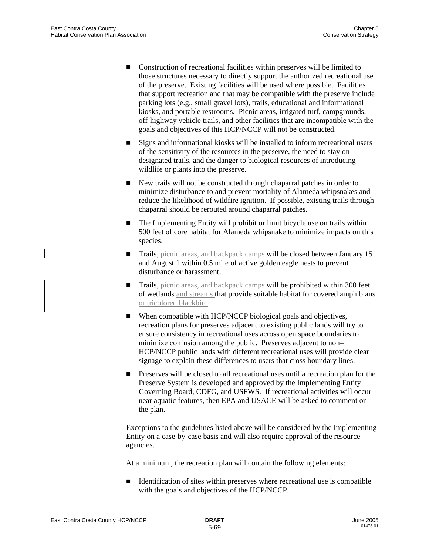- Construction of recreational facilities within preserves will be limited to those structures necessary to directly support the authorized recreational use of the preserve. Existing facilities will be used where possible. Facilities that support recreation and that may be compatible with the preserve include parking lots (e.g., small gravel lots), trails, educational and informational kiosks, and portable restrooms. Picnic areas, irrigated turf, campgrounds, off-highway vehicle trails, and other facilities that are incompatible with the goals and objectives of this HCP/NCCP will not be constructed.
- Signs and informational kiosks will be installed to inform recreational users of the sensitivity of the resources in the preserve, the need to stay on designated trails, and the danger to biological resources of introducing wildlife or plants into the preserve.
- New trails will not be constructed through chaparral patches in order to minimize disturbance to and prevent mortality of Alameda whipsnakes and reduce the likelihood of wildfire ignition. If possible, existing trails through chaparral should be rerouted around chaparral patches.
- The Implementing Entity will prohibit or limit bicycle use on trails within 500 feet of core habitat for Alameda whipsnake to minimize impacts on this species.
- Trails, picnic areas, and backpack camps will be closed between January 15 and August 1 within 0.5 mile of active golden eagle nests to prevent disturbance or harassment.
- **Trails**, picnic areas, and backpack camps will be prohibited within 300 feet of wetlands and streams that provide suitable habitat for covered amphibians or tricolored blackbird.
- When compatible with HCP/NCCP biological goals and objectives, recreation plans for preserves adjacent to existing public lands will try to ensure consistency in recreational uses across open space boundaries to minimize confusion among the public. Preserves adjacent to non– HCP/NCCP public lands with different recreational uses will provide clear signage to explain these differences to users that cross boundary lines.
- **Preserves will be closed to all recreational uses until a recreation plan for the** Preserve System is developed and approved by the Implementing Entity Governing Board, CDFG, and USFWS. If recreational activities will occur near aquatic features, then EPA and USACE will be asked to comment on the plan.

Exceptions to the guidelines listed above will be considered by the Implementing Entity on a case-by-case basis and will also require approval of the resource agencies.

At a minimum, the recreation plan will contain the following elements:

 $\blacksquare$  Identification of sites within preserves where recreational use is compatible with the goals and objectives of the HCP/NCCP.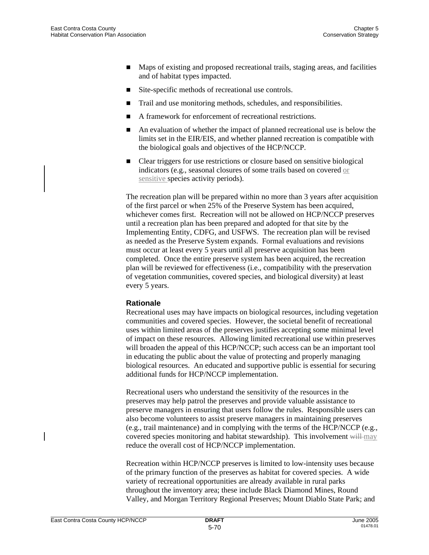- Maps of existing and proposed recreational trails, staging areas, and facilities and of habitat types impacted.
- Site-specific methods of recreational use controls.
- Trail and use monitoring methods, schedules, and responsibilities.
- A framework for enforcement of recreational restrictions.
- An evaluation of whether the impact of planned recreational use is below the limits set in the EIR/EIS, and whether planned recreation is compatible with the biological goals and objectives of the HCP/NCCP.
- Clear triggers for use restrictions or closure based on sensitive biological indicators (e.g., seasonal closures of some trails based on covered or sensitive species activity periods).

The recreation plan will be prepared within no more than 3 years after acquisition of the first parcel or when 25% of the Preserve System has been acquired, whichever comes first. Recreation will not be allowed on HCP/NCCP preserves until a recreation plan has been prepared and adopted for that site by the Implementing Entity, CDFG, and USFWS. The recreation plan will be revised as needed as the Preserve System expands. Formal evaluations and revisions must occur at least every 5 years until all preserve acquisition has been completed. Once the entire preserve system has been acquired, the recreation plan will be reviewed for effectiveness (i.e., compatibility with the preservation of vegetation communities, covered species, and biological diversity) at least every 5 years.

#### **Rationale**

Recreational uses may have impacts on biological resources, including vegetation communities and covered species. However, the societal benefit of recreational uses within limited areas of the preserves justifies accepting some minimal level of impact on these resources. Allowing limited recreational use within preserves will broaden the appeal of this HCP/NCCP; such access can be an important tool in educating the public about the value of protecting and properly managing biological resources. An educated and supportive public is essential for securing additional funds for HCP/NCCP implementation.

Recreational users who understand the sensitivity of the resources in the preserves may help patrol the preserves and provide valuable assistance to preserve managers in ensuring that users follow the rules. Responsible users can also become volunteers to assist preserve managers in maintaining preserves (e.g., trail maintenance) and in complying with the terms of the HCP/NCCP (e.g., covered species monitoring and habitat stewardship). This involvement will may reduce the overall cost of HCP/NCCP implementation.

Recreation within HCP/NCCP preserves is limited to low-intensity uses because of the primary function of the preserves as habitat for covered species. A wide variety of recreational opportunities are already available in rural parks throughout the inventory area; these include Black Diamond Mines, Round Valley, and Morgan Territory Regional Preserves; Mount Diablo State Park; and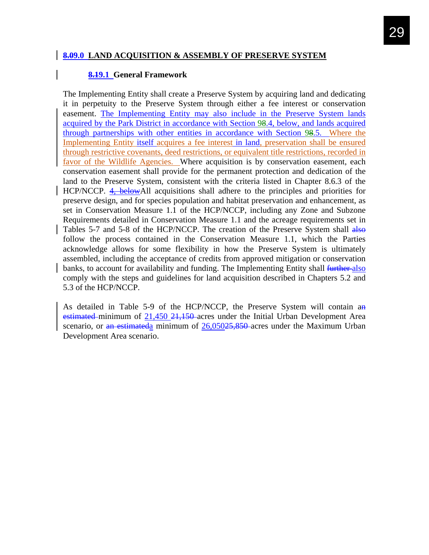### **8.09.0 LAND ACQUISITION & ASSEMBLY OF PRESERVE SYSTEM**

#### **8.19.1 General Framework**

The Implementing Entity shall create a Preserve System by acquiring land and dedicating it in perpetuity to the Preserve System through either a fee interest or conservation easement. The Implementing Entity may also include in the Preserve System lands acquired by the Park District in accordance with Section 98.4, below, and lands acquired through partnerships with other entities in accordance with Section 98.5. Where the Implementing Entity itself acquires a fee interest in land, preservation shall be ensured through restrictive covenants, deed restrictions, or equivalent title restrictions, recorded in favor of the Wildlife Agencies. Where acquisition is by conservation easement, each conservation easement shall provide for the permanent protection and dedication of the land to the Preserve System, consistent with the criteria listed in Chapter 8.6.3 of the HCP/NCCP. 4, belowAll acquisitions shall adhere to the principles and priorities for preserve design, and for species population and habitat preservation and enhancement, as set in Conservation Measure 1.1 of the HCP/NCCP, including any Zone and Subzone Requirements detailed in Conservation Measure 1.1 and the acreage requirements set in Tables 5-7 and 5-8 of the HCP/NCCP. The creation of the Preserve System shall also follow the process contained in the Conservation Measure 1.1, which the Parties acknowledge allows for some flexibility in how the Preserve System is ultimately assembled, including the acceptance of credits from approved mitigation or conservation banks, to account for availability and funding. The Implementing Entity shall further-also comply with the steps and guidelines for land acquisition described in Chapters 5.2 and 5.3 of the HCP/NCCP.

As detailed in Table 5-9 of the HCP/NCCP, the Preserve System will contain an estimated minimum of 21,450 21,150 acres under the Initial Urban Development Area scenario, or  $\frac{an}{1}$  estimateda minimum of  $\frac{26,05025,850}{a}$  acres under the Maximum Urban Development Area scenario.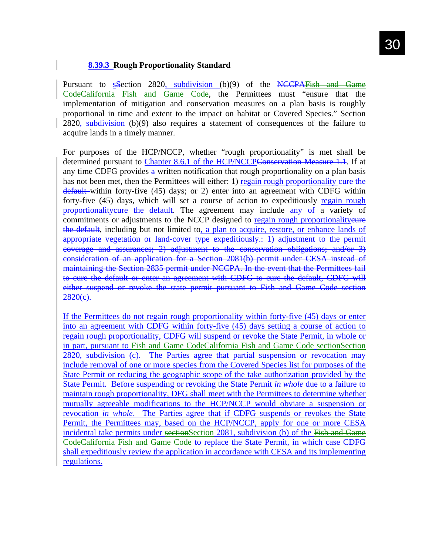### **8.39.3 Rough Proportionality Standard**

Pursuant to sSection 2820, subdivision (b)(9) of the NCCPAFish and Game CodeCalifornia Fish and Game Code, the Permittees must "ensure that the implementation of mitigation and conservation measures on a plan basis is roughly proportional in time and extent to the impact on habitat or Covered Species." Section 2820, subdivision (b)(9) also requires a statement of consequences of the failure to acquire lands in a timely manner.

For purposes of the HCP/NCCP, whether "rough proportionality" is met shall be determined pursuant to Chapter 8.6.1 of the HCP/NCCPConservation Measure 1.1. If at any time CDFG provides  $\frac{a}{b}$  written notification that rough proportionality on a plan basis has not been met, then the Permittees will either: 1) regain rough proportionality eure the default within forty-five (45) days; or 2) enter into an agreement with CDFG within forty-five (45) days, which will set a course of action to expeditiously regain rough proportionality europe the default. The agreement may include any of a variety of commitments or adjustments to the NCCP designed to regain rough proportionality cure the default, including but not limited to, a plan to acquire, restore, or enhance lands of appropriate vegetation or land-cover type expeditiously. (A) adjustment to the permit coverage and assurances; 2) adjustment to the conservation obligations; and/or 3) consideration of an application for a Section 2081(b) permit under CESA instead of maintaining the Section 2835 permit under NCCPA. In the event that the Permittees fail to cure the default or enter an agreement with CDFG to cure the default, CDFG will either suspend or revoke the state permit pursuant to Fish and Game Code section  $2820(e)$ .

If the Permittees do not regain rough proportionality within forty-five (45) days or enter into an agreement with CDFG within forty-five (45) days setting a course of action to regain rough proportionality, CDFG will suspend or revoke the State Permit, in whole or in part, pursuant to Fish and Game CodeCalifornia Fish and Game Code sectionSection 2820, subdivision (c). The Parties agree that partial suspension or revocation may include removal of one or more species from the Covered Species list for purposes of the State Permit or reducing the geographic scope of the take authorization provided by the State Permit. Before suspending or revoking the State Permit *in whole* due to a failure to maintain rough proportionality, DFG shall meet with the Permittees to determine whether mutually agreeable modifications to the HCP/NCCP would obviate a suspension or revocation *in whole*. The Parties agree that if CDFG suspends or revokes the State Permit, the Permittees may, based on the HCP/NCCP, apply for one or more CESA incidental take permits under sectionSection 2081, subdivision (b) of the Fish and Game CodeCalifornia Fish and Game Code to replace the State Permit, in which case CDFG shall expeditiously review the application in accordance with CESA and its implementing regulations.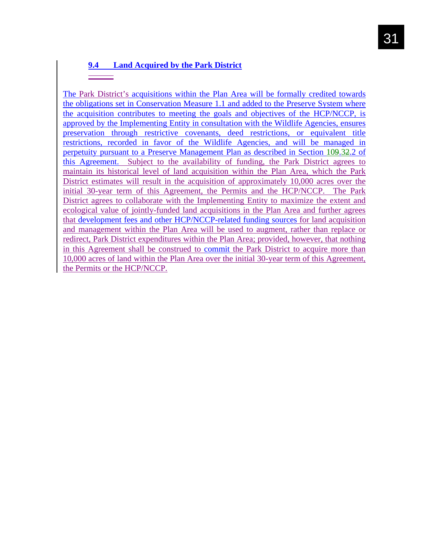# **9.4 Land Acquired by the Park District**

The Park District's acquisitions within the Plan Area will be formally credited towards the obligations set in Conservation Measure 1.1 and added to the Preserve System where the acquisition contributes to meeting the goals and objectives of the HCP/NCCP, is approved by the Implementing Entity in consultation with the Wildlife Agencies, ensures preservation through restrictive covenants, deed restrictions, or equivalent title restrictions, recorded in favor of the Wildlife Agencies, and will be managed in perpetuity pursuant to a Preserve Management Plan as described in Section 109.32.2 of this Agreement. Subject to the availability of funding, the Park District agrees to maintain its historical level of land acquisition within the Plan Area, which the Park District estimates will result in the acquisition of approximately 10,000 acres over the initial 30-year term of this Agreement, the Permits and the HCP/NCCP. The Park District agrees to collaborate with the Implementing Entity to maximize the extent and ecological value of jointly-funded land acquisitions in the Plan Area and further agrees that development fees and other HCP/NCCP-related funding sources for land acquisition and management within the Plan Area will be used to augment, rather than replace or redirect, Park District expenditures within the Plan Area; provided, however, that nothing in this Agreement shall be construed to commit the Park District to acquire more than 10,000 acres of land within the Plan Area over the initial 30-year term of this Agreement, the Permits or the HCP/NCCP.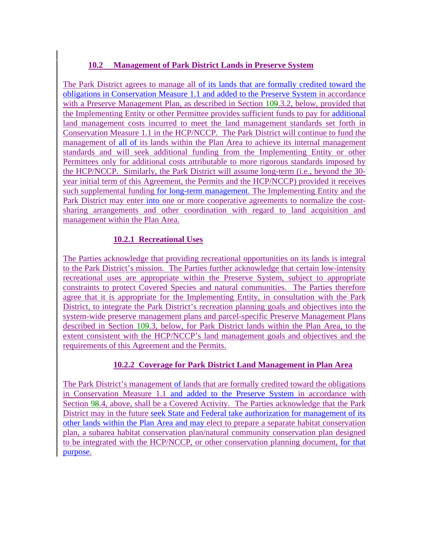# **10.2 Management of Park District Lands in Preserve System**

The Park District agrees to manage all of its lands that are formally credited toward the obligations in Conservation Measure 1.1 and added to the Preserve System in accordance with a Preserve Management Plan, as described in Section 109.3.2, below, provided that the Implementing Entity or other Permittee provides sufficient funds to pay for additional land management costs incurred to meet the land management standards set forth in Conservation Measure 1.1 in the HCP/NCCP. The Park District will continue to fund the management of all of its lands within the Plan Area to achieve its internal management standards and will seek additional funding from the Implementing Entity or other Permittees only for additional costs attributable to more rigorous standards imposed by the HCP/NCCP. Similarly, the Park District will assume long-term (i.e., beyond the 30 year initial term of this Agreement, the Permits and the HCP/NCCP) provided it receives such supplemental funding for long-term management. The Implementing Entity and the Park District may enter into one or more cooperative agreements to normalize the costsharing arrangements and other coordination with regard to land acquisition and management within the Plan Area.

### **10.2.1 Recreational Uses**

The Parties acknowledge that providing recreational opportunities on its lands is integral to the Park District's mission. The Parties further acknowledge that certain low-intensity recreational uses are appropriate within the Preserve System, subject to appropriate constraints to protect Covered Species and natural communities. The Parties therefore agree that it is appropriate for the Implementing Entity, in consultation with the Park District, to integrate the Park District's recreation planning goals and objectives into the system-wide preserve management plans and parcel-specific Preserve Management Plans described in Section 109.3, below, for Park District lands within the Plan Area, to the extent consistent with the HCP/NCCP's land management goals and objectives and the requirements of this Agreement and the Permits.

### **10.2.2 Coverage for Park District Land Management in Plan Area**

The Park District's management of lands that are formally credited toward the obligations in Conservation Measure 1.1 and added to the Preserve System in accordance with Section 98.4, above, shall be a Covered Activity. The Parties acknowledge that the Park District may in the future seek State and Federal take authorization for management of its other lands within the Plan Area and may elect to prepare a separate habitat conservation plan, a subarea habitat conservation plan/natural community conservation plan designed to be integrated with the HCP/NCCP, or other conservation planning document, for that purpose.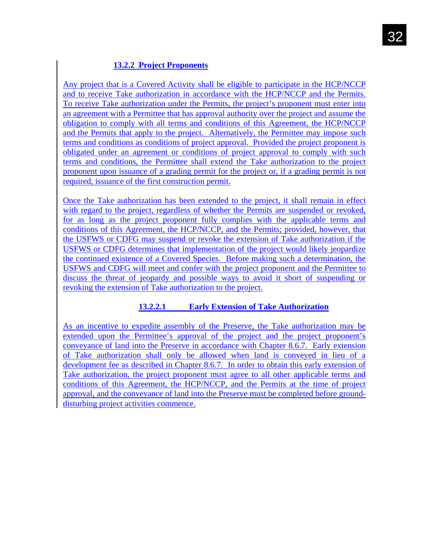# **13.2.2 Project Proponents**

Any project that is a Covered Activity shall be eligible to participate in the HCP/NCCP and to receive Take authorization in accordance with the HCP/NCCP and the Permits. To receive Take authorization under the Permits, the project's proponent must enter into an agreement with a Permittee that has approval authority over the project and assume the obligation to comply with all terms and conditions of this Agreement, the HCP/NCCP and the Permits that apply to the project. Alternatively, the Permittee may impose such terms and conditions as conditions of project approval. Provided the project proponent is obligated under an agreement or conditions of project approval to comply with such terms and conditions, the Permittee shall extend the Take authorization to the project proponent upon issuance of a grading permit for the project or, if a grading permit is not required, issuance of the first construction permit.

Once the Take authorization has been extended to the project, it shall remain in effect with regard to the project, regardless of whether the Permits are suspended or revoked, for as long as the project proponent fully complies with the applicable terms and conditions of this Agreement, the HCP/NCCP, and the Permits; provided, however, that the USFWS or CDFG may suspend or revoke the extension of Take authorization if the USFWS or CDFG determines that implementation of the project would likely jeopardize the continued existence of a Covered Species. Before making such a determination, the USFWS and CDFG will meet and confer with the project proponent and the Permittee to discuss the threat of jeopardy and possible ways to avoid it short of suspending or revoking the extension of Take authorization to the project.

### **13.2.2.1 Early Extension of Take Authorization**

As an incentive to expedite assembly of the Preserve, the Take authorization may be extended upon the Permittee's approval of the project and the project proponent's conveyance of land into the Preserve in accordance with Chapter 8.6.7. Early extension of Take authorization shall only be allowed when land is conveyed in lieu of a development fee as described in Chapter 8.6.7. In order to obtain this early extension of Take authorization, the project proponent must agree to all other applicable terms and conditions of this Agreement, the HCP/NCCP, and the Permits at the time of project approval, and the conveyance of land into the Preserve must be completed before grounddisturbing project activities commence.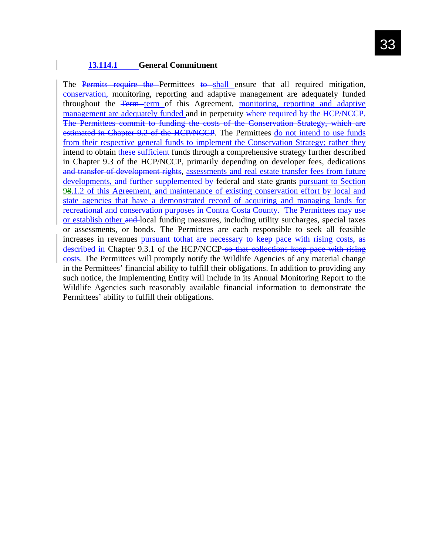#### **13.114.1 General Commitment**

The Permits require the Permittees to shall ensure that all required mitigation, conservation, monitoring, reporting and adaptive management are adequately funded throughout the Term term of this Agreement, monitoring, reporting and adaptive management are adequately funded and in perpetuity where required by the HCP/NCCP. The Permittees commit to funding the costs of the Conservation Strategy, which are estimated in Chapter 9.2 of the HCP/NCCP. The Permittees do not intend to use funds from their respective general funds to implement the Conservation Strategy; rather they intend to obtain these sufficient funds through a comprehensive strategy further described in Chapter 9.3 of the HCP/NCCP, primarily depending on developer fees, dedications and transfer of development rights, assessments and real estate transfer fees from future developments, and further supplemented by federal and state grants pursuant to Section 98.1.2 of this Agreement, and maintenance of existing conservation effort by local and state agencies that have a demonstrated record of acquiring and managing lands for recreational and conservation purposes in Contra Costa County. The Permittees may use or establish other and local funding measures, including utility surcharges, special taxes or assessments, or bonds. The Permittees are each responsible to seek all feasible increases in revenues pursuant to that are necessary to keep pace with rising costs, as described in Chapter 9.3.1 of the HCP/NCCP so that collections keep pace with rising costs. The Permittees will promptly notify the Wildlife Agencies of any material change in the Permittees' financial ability to fulfill their obligations. In addition to providing any such notice, the Implementing Entity will include in its Annual Monitoring Report to the Wildlife Agencies such reasonably available financial information to demonstrate the Permittees' ability to fulfill their obligations.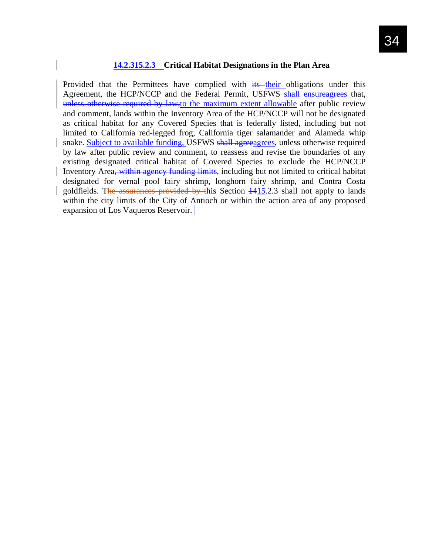### **14.2.315.2.3 Critical Habitat Designations in the Plan Area**

Provided that the Permittees have complied with  $\frac{1}{10}$  their obligations under this Agreement, the HCP/NCCP and the Federal Permit, USFWS shall ensureagrees that, unless otherwise required by law, to the maximum extent allowable after public review and comment, lands within the Inventory Area of the HCP/NCCP will not be designated as critical habitat for any Covered Species that is federally listed, including but not limited to California red-legged frog, California tiger salamander and Alameda whip snake. Subject to available funding, USFWS shall agreeagrees, unless otherwise required by law after public review and comment, to reassess and revise the boundaries of any existing designated critical habitat of Covered Species to exclude the HCP/NCCP Inventory Area, within agency funding limits, including but not limited to critical habitat designated for vernal pool fairy shrimp, longhorn fairy shrimp, and Contra Costa goldfields. The assurances provided by this Section 1415.2.3 shall not apply to lands within the city limits of the City of Antioch or within the action area of any proposed expansion of Los Vaqueros Reservoir.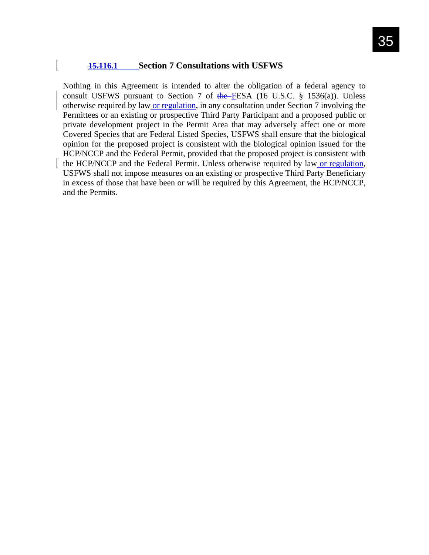#### **15.116.1 Section 7 Consultations with USFWS**

Nothing in this Agreement is intended to alter the obligation of a federal agency to consult USFWS pursuant to Section 7 of the FESA (16 U.S.C.  $\S$  1536(a)). Unless otherwise required by law or regulation, in any consultation under Section 7 involving the Permittees or an existing or prospective Third Party Participant and a proposed public or private development project in the Permit Area that may adversely affect one or more Covered Species that are Federal Listed Species, USFWS shall ensure that the biological opinion for the proposed project is consistent with the biological opinion issued for the HCP/NCCP and the Federal Permit, provided that the proposed project is consistent with the HCP/NCCP and the Federal Permit. Unless otherwise required by law or regulation, USFWS shall not impose measures on an existing or prospective Third Party Beneficiary in excess of those that have been or will be required by this Agreement, the HCP/NCCP, and the Permits.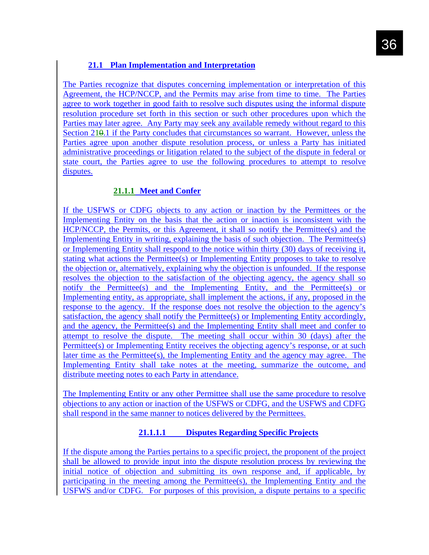# **21.1 Plan Implementation and Interpretation**

The Parties recognize that disputes concerning implementation or interpretation of this Agreement, the HCP/NCCP, and the Permits may arise from time to time. The Parties agree to work together in good faith to resolve such disputes using the informal dispute resolution procedure set forth in this section or such other procedures upon which the Parties may later agree. Any Party may seek any available remedy without regard to this Section 210.1 if the Party concludes that circumstances so warrant. However, unless the Parties agree upon another dispute resolution process, or unless a Party has initiated administrative proceedings or litigation related to the subject of the dispute in federal or state court, the Parties agree to use the following procedures to attempt to resolve disputes.

# **21.1.1 Meet and Confer**

If the USFWS or CDFG objects to any action or inaction by the Permittees or the Implementing Entity on the basis that the action or inaction is inconsistent with the HCP/NCCP, the Permits, or this Agreement, it shall so notify the Permittee(s) and the Implementing Entity in writing, explaining the basis of such objection. The Permittee(s) or Implementing Entity shall respond to the notice within thirty (30) days of receiving it, stating what actions the Permittee(s) or Implementing Entity proposes to take to resolve the objection or, alternatively, explaining why the objection is unfounded. If the response resolves the objection to the satisfaction of the objecting agency, the agency shall so notify the Permittee(s) and the Implementing Entity, and the Permittee(s) or Implementing entity, as appropriate, shall implement the actions, if any, proposed in the response to the agency. If the response does not resolve the objection to the agency's satisfaction, the agency shall notify the Permittee(s) or Implementing Entity accordingly, and the agency, the Permittee(s) and the Implementing Entity shall meet and confer to attempt to resolve the dispute. The meeting shall occur within 30 (days) after the Permittee(s) or Implementing Entity receives the objecting agency's response, or at such later time as the Permittee(s), the Implementing Entity and the agency may agree. The Implementing Entity shall take notes at the meeting, summarize the outcome, and distribute meeting notes to each Party in attendance.

The Implementing Entity or any other Permittee shall use the same procedure to resolve objections to any action or inaction of the USFWS or CDFG, and the USFWS and CDFG shall respond in the same manner to notices delivered by the Permittees.

### **21.1.1.1 Disputes Regarding Specific Projects**

If the dispute among the Parties pertains to a specific project, the proponent of the project shall be allowed to provide input into the dispute resolution process by reviewing the initial notice of objection and submitting its own response and, if applicable, by participating in the meeting among the Permittee(s), the Implementing Entity and the USFWS and/or CDFG. For purposes of this provision, a dispute pertains to a specific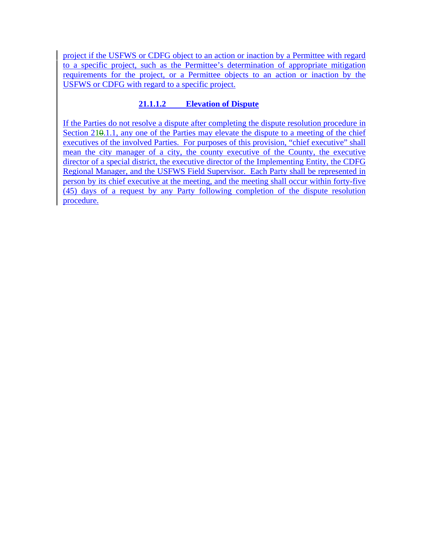project if the USFWS or CDFG object to an action or inaction by a Permittee with regard to a specific project, such as the Permittee's determination of appropriate mitigation requirements for the project, or a Permittee objects to an action or inaction by the USFWS or CDFG with regard to a specific project.

# **21.1.1.2 Elevation of Dispute**

If the Parties do not resolve a dispute after completing the dispute resolution procedure in Section 210.1.1, any one of the Parties may elevate the dispute to a meeting of the chief executives of the involved Parties. For purposes of this provision, "chief executive" shall mean the city manager of a city, the county executive of the County, the executive director of a special district, the executive director of the Implementing Entity, the CDFG Regional Manager, and the USFWS Field Supervisor. Each Party shall be represented in person by its chief executive at the meeting, and the meeting shall occur within forty-five (45) days of a request by any Party following completion of the dispute resolution procedure.